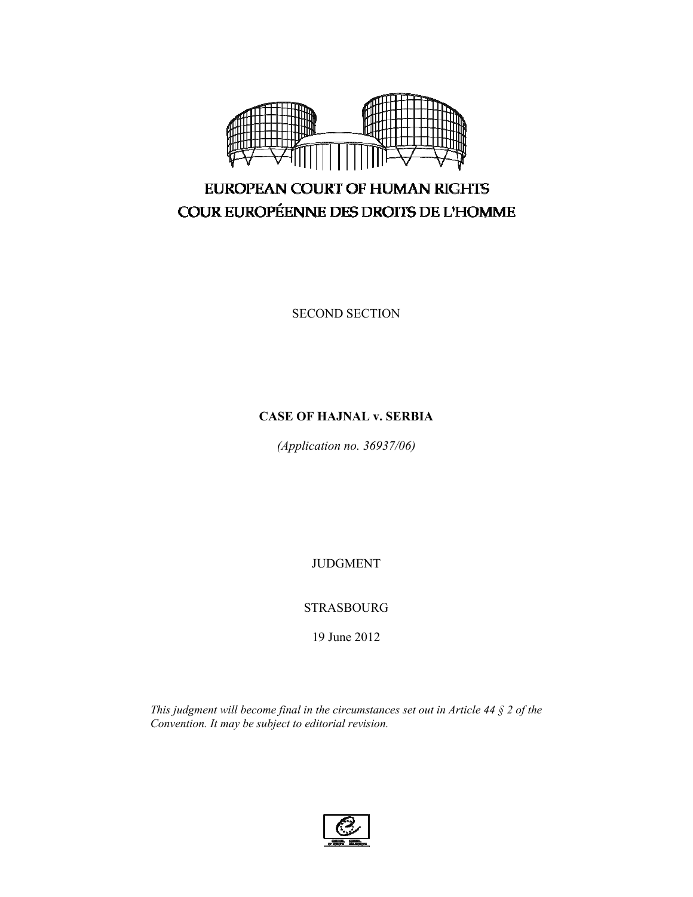

# EUROPEAN COURT OF HUMAN RIGHTS COUR EUROPÉENNE DES DROITS DE L'HOMME

SECOND SECTION

# **CASE OF HAJNAL v. SERBIA**

*(Application no. 36937/06)* 

JUDGMENT

# STRASBOURG

19 June 2012

*This judgment will become final in the circumstances set out in Article 44 § 2 of the Convention. It may be subject to editorial revision.* 

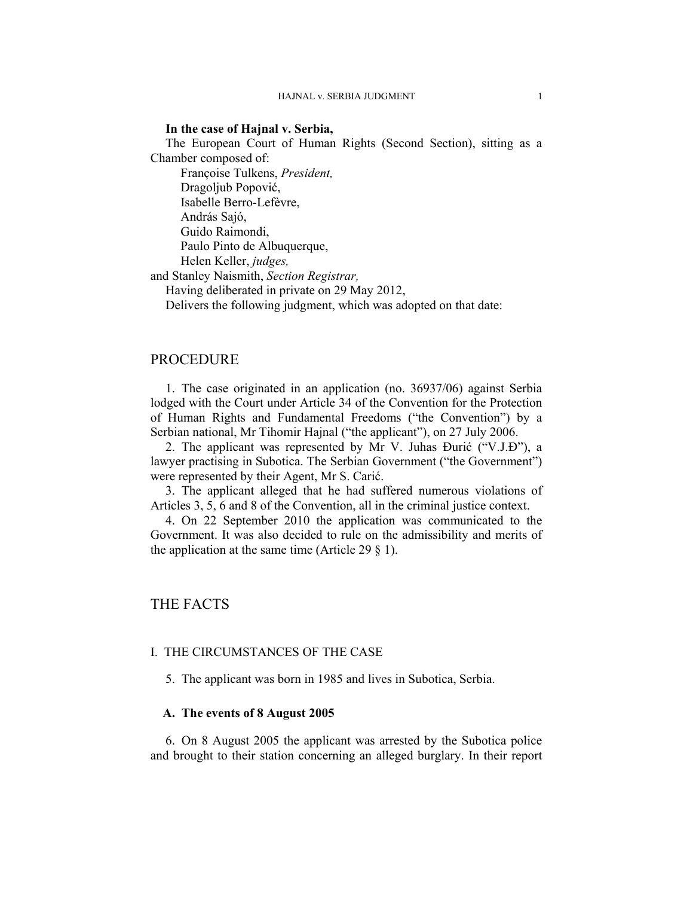### **In the case of Hajnal v. Serbia,**

The European Court of Human Rights (Second Section), sitting as a Chamber composed of:

 Françoise Tulkens, *President,*  Dragoljub Popović, Isabelle Berro-Lefèvre, András Sajó, Guido Raimondi, Paulo Pinto de Albuquerque, Helen Keller, *judges,*

and Stanley Naismith, *Section Registrar,*

Having deliberated in private on 29 May 2012,

Delivers the following judgment, which was adopted on that date:

# PROCEDURE

1. The case originated in an application (no. 36937/06) against Serbia lodged with the Court under Article 34 of the Convention for the Protection of Human Rights and Fundamental Freedoms ("the Convention") by a Serbian national, Mr Tihomir Hajnal ("the applicant"), on 27 July 2006.

2. The applicant was represented by Mr V. Juhas Đurić ("V.J.Đ"), a lawyer practising in Subotica. The Serbian Government ("the Government") were represented by their Agent, Mr S. Carić.

3. The applicant alleged that he had suffered numerous violations of Articles 3, 5, 6 and 8 of the Convention, all in the criminal justice context.

4. On 22 September 2010 the application was communicated to the Government. It was also decided to rule on the admissibility and merits of the application at the same time (Article 29  $\S$  1).

# THE FACTS

### I. THE CIRCUMSTANCES OF THE CASE

5. The applicant was born in 1985 and lives in Subotica, Serbia.

### **A. The events of 8 August 2005**

6. On 8 August 2005 the applicant was arrested by the Subotica police and brought to their station concerning an alleged burglary. In their report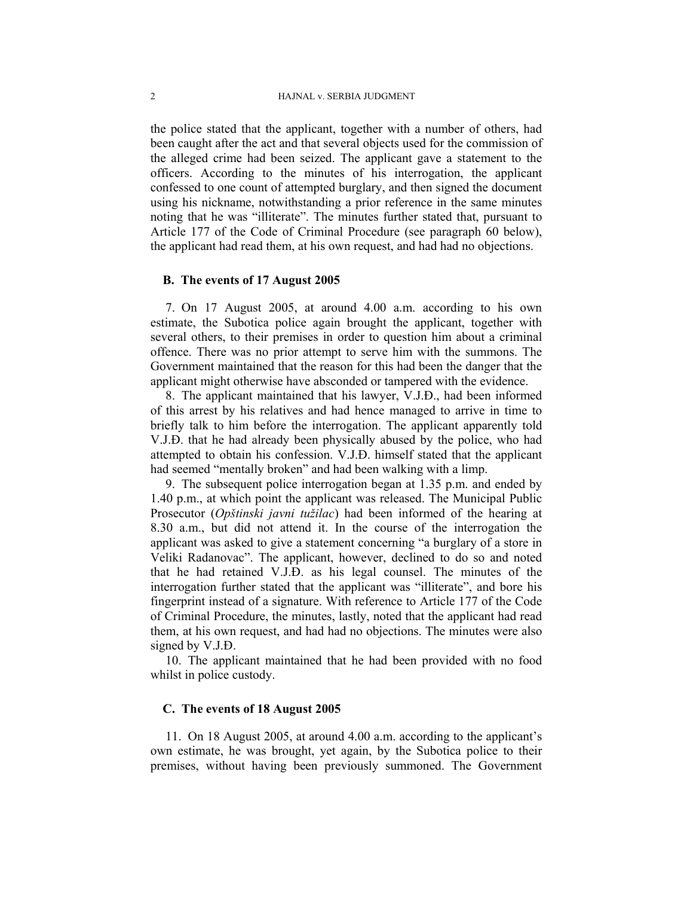the police stated that the applicant, together with a number of others, had been caught after the act and that several objects used for the commission of the alleged crime had been seized. The applicant gave a statement to the officers. According to the minutes of his interrogation, the applicant confessed to one count of attempted burglary, and then signed the document using his nickname, notwithstanding a prior reference in the same minutes noting that he was "illiterate". The minutes further stated that, pursuant to Article 177 of the Code of Criminal Procedure (see paragraph 60 below), the applicant had read them, at his own request, and had had no objections.

### **B. The events of 17 August 2005**

7. On 17 August 2005, at around 4.00 a.m. according to his own estimate, the Subotica police again brought the applicant, together with several others, to their premises in order to question him about a criminal offence. There was no prior attempt to serve him with the summons. The Government maintained that the reason for this had been the danger that the applicant might otherwise have absconded or tampered with the evidence.

8. The applicant maintained that his lawyer, V.J.Đ., had been informed of this arrest by his relatives and had hence managed to arrive in time to briefly talk to him before the interrogation. The applicant apparently told V.J.Đ. that he had already been physically abused by the police, who had attempted to obtain his confession. V.J.Đ. himself stated that the applicant had seemed "mentally broken" and had been walking with a limp.

9. The subsequent police interrogation began at 1.35 p.m. and ended by 1.40 p.m., at which point the applicant was released. The Municipal Public Prosecutor (*Opštinski javni tužilac*) had been informed of the hearing at 8.30 a.m., but did not attend it. In the course of the interrogation the applicant was asked to give a statement concerning "a burglary of a store in Veliki Radanovac". The applicant, however, declined to do so and noted that he had retained V.J.Đ. as his legal counsel. The minutes of the interrogation further stated that the applicant was "illiterate", and bore his fingerprint instead of a signature. With reference to Article 177 of the Code of Criminal Procedure, the minutes, lastly, noted that the applicant had read them, at his own request, and had had no objections. The minutes were also signed by V.J.Đ.

10. The applicant maintained that he had been provided with no food whilst in police custody.

# **C. The events of 18 August 2005**

11. On 18 August 2005, at around 4.00 a.m. according to the applicant's own estimate, he was brought, yet again, by the Subotica police to their premises, without having been previously summoned. The Government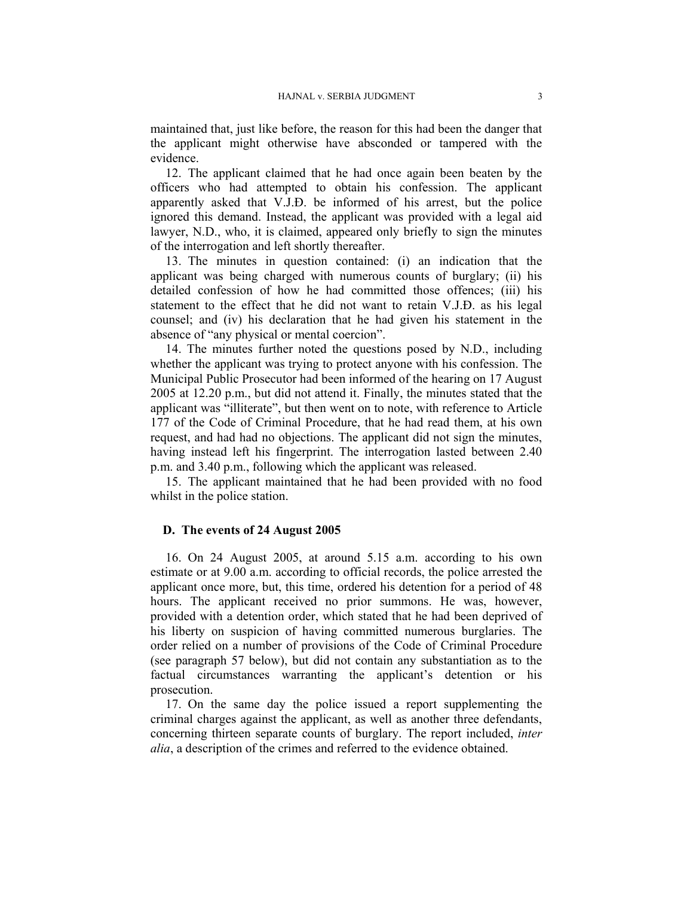maintained that, just like before, the reason for this had been the danger that the applicant might otherwise have absconded or tampered with the evidence.

12. The applicant claimed that he had once again been beaten by the officers who had attempted to obtain his confession. The applicant apparently asked that V.J.Đ. be informed of his arrest, but the police ignored this demand. Instead, the applicant was provided with a legal aid lawyer, N.D., who, it is claimed, appeared only briefly to sign the minutes of the interrogation and left shortly thereafter.

13. The minutes in question contained: (i) an indication that the applicant was being charged with numerous counts of burglary; (ii) his detailed confession of how he had committed those offences; (iii) his statement to the effect that he did not want to retain V.J.Đ. as his legal counsel; and (iv) his declaration that he had given his statement in the absence of "any physical or mental coercion".

14. The minutes further noted the questions posed by N.D., including whether the applicant was trying to protect anyone with his confession. The Municipal Public Prosecutor had been informed of the hearing on 17 August 2005 at 12.20 p.m., but did not attend it. Finally, the minutes stated that the applicant was "illiterate", but then went on to note, with reference to Article 177 of the Code of Criminal Procedure, that he had read them, at his own request, and had had no objections. The applicant did not sign the minutes, having instead left his fingerprint. The interrogation lasted between 2.40 p.m. and 3.40 p.m., following which the applicant was released.

15. The applicant maintained that he had been provided with no food whilst in the police station.

#### **D. The events of 24 August 2005**

16. On 24 August 2005, at around 5.15 a.m. according to his own estimate or at 9.00 a.m. according to official records, the police arrested the applicant once more, but, this time, ordered his detention for a period of 48 hours. The applicant received no prior summons. He was, however, provided with a detention order, which stated that he had been deprived of his liberty on suspicion of having committed numerous burglaries. The order relied on a number of provisions of the Code of Criminal Procedure (see paragraph 57 below), but did not contain any substantiation as to the factual circumstances warranting the applicant's detention or his prosecution.

17. On the same day the police issued a report supplementing the criminal charges against the applicant, as well as another three defendants, concerning thirteen separate counts of burglary. The report included, *inter alia*, a description of the crimes and referred to the evidence obtained.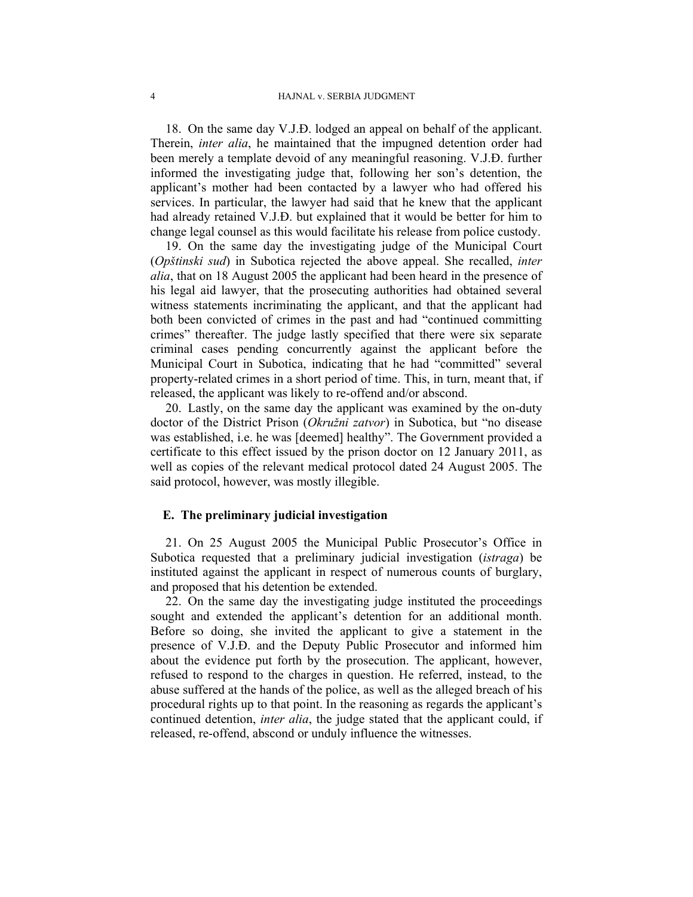18. On the same day V.J.Đ. lodged an appeal on behalf of the applicant. Therein, *inter alia*, he maintained that the impugned detention order had been merely a template devoid of any meaningful reasoning. V.J.Đ. further informed the investigating judge that, following her son's detention, the applicant's mother had been contacted by a lawyer who had offered his services. In particular, the lawyer had said that he knew that the applicant had already retained V.J.Đ. but explained that it would be better for him to change legal counsel as this would facilitate his release from police custody.

19. On the same day the investigating judge of the Municipal Court (*Opštinski sud*) in Subotica rejected the above appeal. She recalled, *inter alia*, that on 18 August 2005 the applicant had been heard in the presence of his legal aid lawyer, that the prosecuting authorities had obtained several witness statements incriminating the applicant, and that the applicant had both been convicted of crimes in the past and had "continued committing crimes" thereafter. The judge lastly specified that there were six separate criminal cases pending concurrently against the applicant before the Municipal Court in Subotica, indicating that he had "committed" several property-related crimes in a short period of time. This, in turn, meant that, if released, the applicant was likely to re-offend and/or abscond.

20. Lastly, on the same day the applicant was examined by the on-duty doctor of the District Prison (*Okružni zatvor*) in Subotica, but "no disease was established, i.e. he was [deemed] healthy". The Government provided a certificate to this effect issued by the prison doctor on 12 January 2011, as well as copies of the relevant medical protocol dated 24 August 2005. The said protocol, however, was mostly illegible.

### **E. The preliminary judicial investigation**

21. On 25 August 2005 the Municipal Public Prosecutor's Office in Subotica requested that a preliminary judicial investigation (*istraga*) be instituted against the applicant in respect of numerous counts of burglary, and proposed that his detention be extended.

22. On the same day the investigating judge instituted the proceedings sought and extended the applicant's detention for an additional month. Before so doing, she invited the applicant to give a statement in the presence of V.J.Đ. and the Deputy Public Prosecutor and informed him about the evidence put forth by the prosecution. The applicant, however, refused to respond to the charges in question. He referred, instead, to the abuse suffered at the hands of the police, as well as the alleged breach of his procedural rights up to that point. In the reasoning as regards the applicant's continued detention, *inter alia*, the judge stated that the applicant could, if released, re-offend, abscond or unduly influence the witnesses.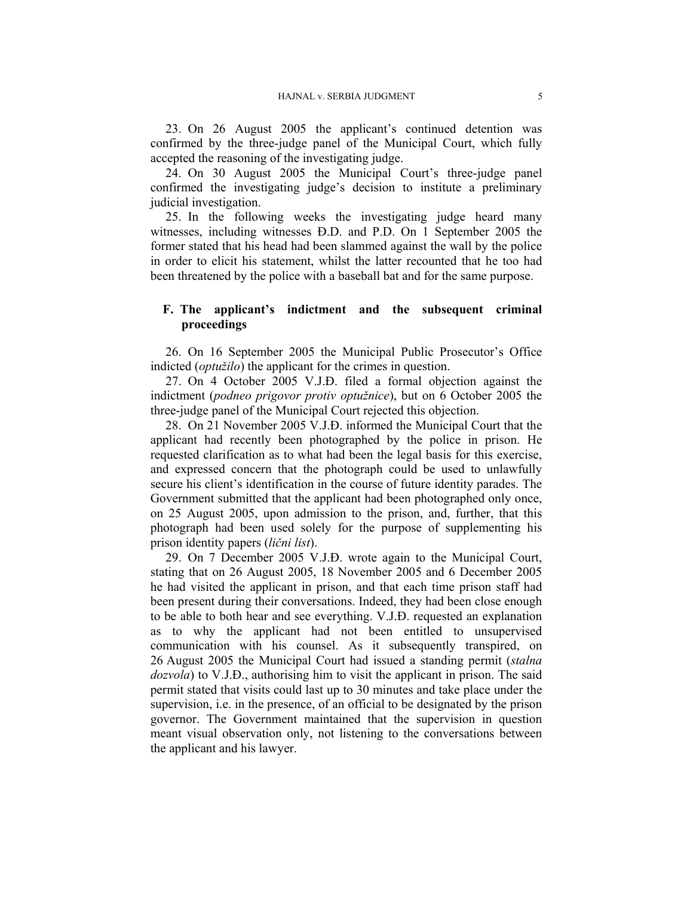23. On 26 August 2005 the applicant's continued detention was confirmed by the three-judge panel of the Municipal Court, which fully accepted the reasoning of the investigating judge.

24. On 30 August 2005 the Municipal Court's three-judge panel confirmed the investigating judge's decision to institute a preliminary judicial investigation.

25. In the following weeks the investigating judge heard many witnesses, including witnesses Đ.D. and P.D. On 1 September 2005 the former stated that his head had been slammed against the wall by the police in order to elicit his statement, whilst the latter recounted that he too had been threatened by the police with a baseball bat and for the same purpose.

# **F. The applicant's indictment and the subsequent criminal proceedings**

26. On 16 September 2005 the Municipal Public Prosecutor's Office indicted (*optužilo*) the applicant for the crimes in question.

27. On 4 October 2005 V.J.Đ. filed a formal objection against the indictment (*podneo prigovor protiv optužnice*), but on 6 October 2005 the three-judge panel of the Municipal Court rejected this objection.

28. On 21 November 2005 V.J.Đ. informed the Municipal Court that the applicant had recently been photographed by the police in prison. He requested clarification as to what had been the legal basis for this exercise, and expressed concern that the photograph could be used to unlawfully secure his client's identification in the course of future identity parades. The Government submitted that the applicant had been photographed only once, on 25 August 2005, upon admission to the prison, and, further, that this photograph had been used solely for the purpose of supplementing his prison identity papers (*lični list*).

29. On 7 December 2005 V.J.Đ. wrote again to the Municipal Court, stating that on 26 August 2005, 18 November 2005 and 6 December 2005 he had visited the applicant in prison, and that each time prison staff had been present during their conversations. Indeed, they had been close enough to be able to both hear and see everything. V.J.Đ. requested an explanation as to why the applicant had not been entitled to unsupervised communication with his counsel. As it subsequently transpired, on 26 August 2005 the Municipal Court had issued a standing permit (*stalna dozvola*) to V.J.Đ., authorising him to visit the applicant in prison. The said permit stated that visits could last up to 30 minutes and take place under the supervision, i.e. in the presence, of an official to be designated by the prison governor. The Government maintained that the supervision in question meant visual observation only, not listening to the conversations between the applicant and his lawyer.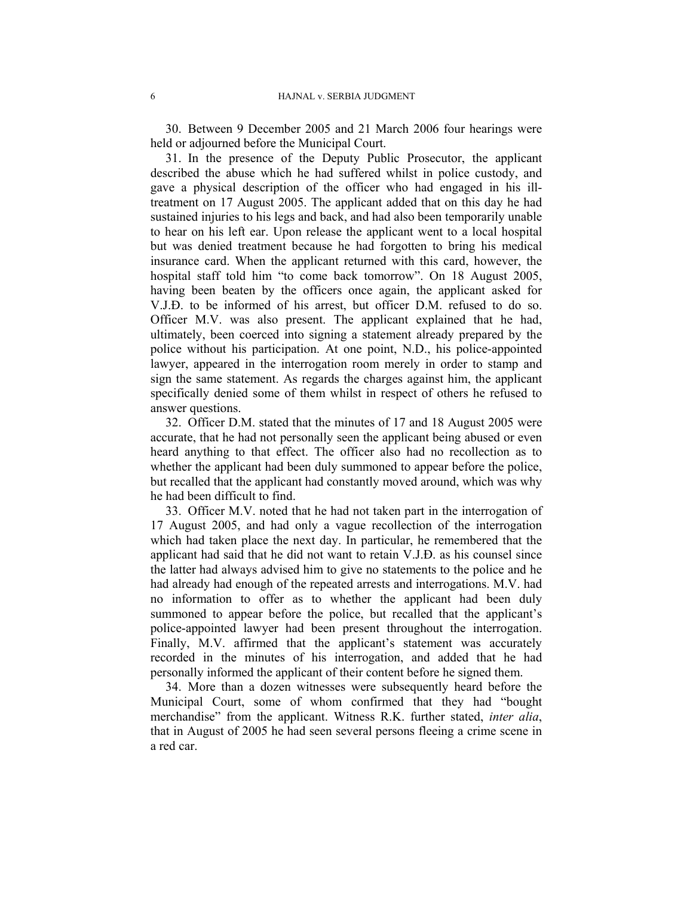30. Between 9 December 2005 and 21 March 2006 four hearings were held or adjourned before the Municipal Court.

31. In the presence of the Deputy Public Prosecutor, the applicant described the abuse which he had suffered whilst in police custody, and gave a physical description of the officer who had engaged in his illtreatment on 17 August 2005. The applicant added that on this day he had sustained injuries to his legs and back, and had also been temporarily unable to hear on his left ear. Upon release the applicant went to a local hospital but was denied treatment because he had forgotten to bring his medical insurance card. When the applicant returned with this card, however, the hospital staff told him "to come back tomorrow". On 18 August 2005, having been beaten by the officers once again, the applicant asked for V.J.Đ. to be informed of his arrest, but officer D.M. refused to do so. Officer M.V. was also present. The applicant explained that he had, ultimately, been coerced into signing a statement already prepared by the police without his participation. At one point, N.D., his police-appointed lawyer, appeared in the interrogation room merely in order to stamp and sign the same statement. As regards the charges against him, the applicant specifically denied some of them whilst in respect of others he refused to answer questions.

32. Officer D.M. stated that the minutes of 17 and 18 August 2005 were accurate, that he had not personally seen the applicant being abused or even heard anything to that effect. The officer also had no recollection as to whether the applicant had been duly summoned to appear before the police, but recalled that the applicant had constantly moved around, which was why he had been difficult to find.

33. Officer M.V. noted that he had not taken part in the interrogation of 17 August 2005, and had only a vague recollection of the interrogation which had taken place the next day. In particular, he remembered that the applicant had said that he did not want to retain V.J.Đ. as his counsel since the latter had always advised him to give no statements to the police and he had already had enough of the repeated arrests and interrogations. M.V. had no information to offer as to whether the applicant had been duly summoned to appear before the police, but recalled that the applicant's police-appointed lawyer had been present throughout the interrogation. Finally, M.V. affirmed that the applicant's statement was accurately recorded in the minutes of his interrogation, and added that he had personally informed the applicant of their content before he signed them.

34. More than a dozen witnesses were subsequently heard before the Municipal Court, some of whom confirmed that they had "bought merchandise" from the applicant. Witness R.K. further stated, *inter alia*, that in August of 2005 he had seen several persons fleeing a crime scene in a red car.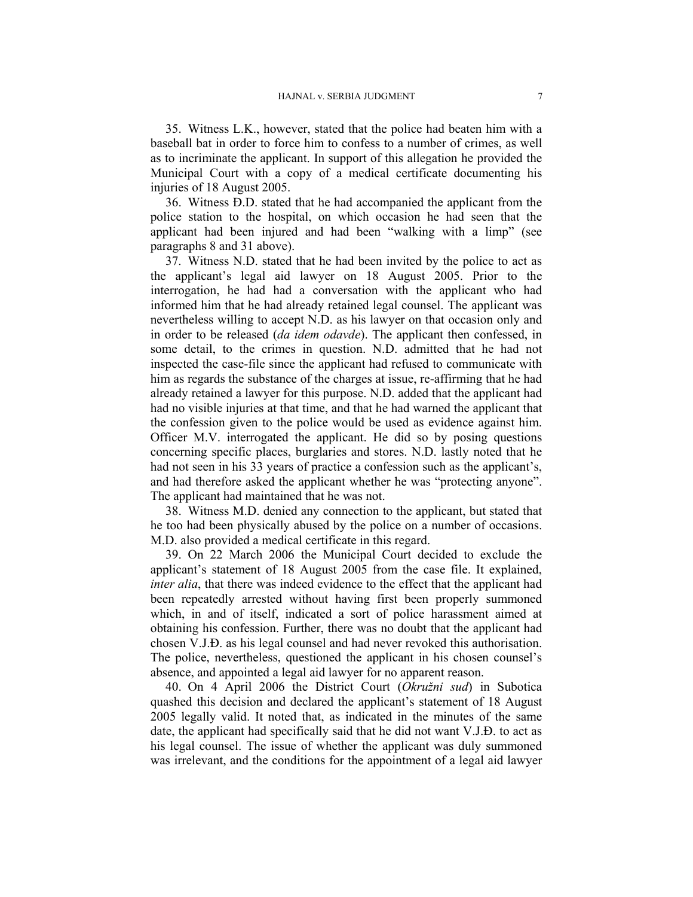35. Witness L.K., however, stated that the police had beaten him with a baseball bat in order to force him to confess to a number of crimes, as well as to incriminate the applicant. In support of this allegation he provided the Municipal Court with a copy of a medical certificate documenting his injuries of 18 August 2005.

36. Witness Đ.D. stated that he had accompanied the applicant from the police station to the hospital, on which occasion he had seen that the applicant had been injured and had been "walking with a limp" (see paragraphs 8 and 31 above).

37. Witness N.D. stated that he had been invited by the police to act as the applicant's legal aid lawyer on 18 August 2005. Prior to the interrogation, he had had a conversation with the applicant who had informed him that he had already retained legal counsel. The applicant was nevertheless willing to accept N.D. as his lawyer on that occasion only and in order to be released (*da idem odavde*). The applicant then confessed, in some detail, to the crimes in question. N.D. admitted that he had not inspected the case-file since the applicant had refused to communicate with him as regards the substance of the charges at issue, re-affirming that he had already retained a lawyer for this purpose. N.D. added that the applicant had had no visible injuries at that time, and that he had warned the applicant that the confession given to the police would be used as evidence against him. Officer M.V. interrogated the applicant. He did so by posing questions concerning specific places, burglaries and stores. N.D. lastly noted that he had not seen in his 33 years of practice a confession such as the applicant's, and had therefore asked the applicant whether he was "protecting anyone". The applicant had maintained that he was not.

38. Witness M.D. denied any connection to the applicant, but stated that he too had been physically abused by the police on a number of occasions. M.D. also provided a medical certificate in this regard.

39. On 22 March 2006 the Municipal Court decided to exclude the applicant's statement of 18 August 2005 from the case file. It explained, *inter alia*, that there was indeed evidence to the effect that the applicant had been repeatedly arrested without having first been properly summoned which, in and of itself, indicated a sort of police harassment aimed at obtaining his confession. Further, there was no doubt that the applicant had chosen V.J.Đ. as his legal counsel and had never revoked this authorisation. The police, nevertheless, questioned the applicant in his chosen counsel's absence, and appointed a legal aid lawyer for no apparent reason.

40. On 4 April 2006 the District Court (*Okružni sud*) in Subotica quashed this decision and declared the applicant's statement of 18 August 2005 legally valid. It noted that, as indicated in the minutes of the same date, the applicant had specifically said that he did not want V.J.Đ. to act as his legal counsel. The issue of whether the applicant was duly summoned was irrelevant, and the conditions for the appointment of a legal aid lawyer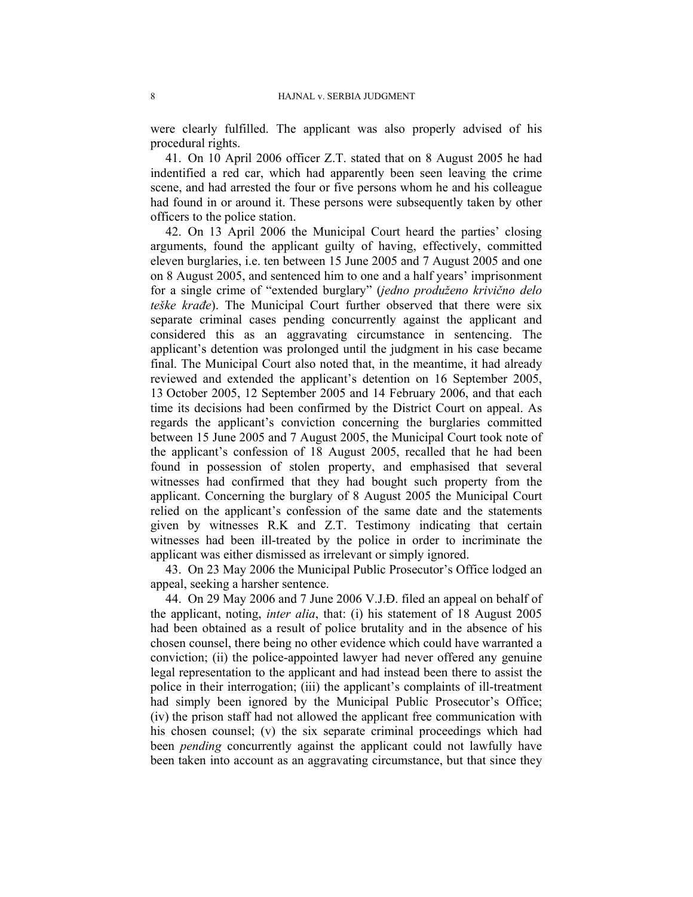were clearly fulfilled. The applicant was also properly advised of his procedural rights.

41. On 10 April 2006 officer Z.T. stated that on 8 August 2005 he had indentified a red car, which had apparently been seen leaving the crime scene, and had arrested the four or five persons whom he and his colleague had found in or around it. These persons were subsequently taken by other officers to the police station.

42. On 13 April 2006 the Municipal Court heard the parties' closing arguments, found the applicant guilty of having, effectively, committed eleven burglaries, i.e. ten between 15 June 2005 and 7 August 2005 and one on 8 August 2005, and sentenced him to one and a half years' imprisonment for a single crime of "extended burglary" (*jedno produženo krivično delo teške krađe*). The Municipal Court further observed that there were six separate criminal cases pending concurrently against the applicant and considered this as an aggravating circumstance in sentencing. The applicant's detention was prolonged until the judgment in his case became final. The Municipal Court also noted that, in the meantime, it had already reviewed and extended the applicant's detention on 16 September 2005, 13 October 2005, 12 September 2005 and 14 February 2006, and that each time its decisions had been confirmed by the District Court on appeal. As regards the applicant's conviction concerning the burglaries committed between 15 June 2005 and 7 August 2005, the Municipal Court took note of the applicant's confession of 18 August 2005, recalled that he had been found in possession of stolen property, and emphasised that several witnesses had confirmed that they had bought such property from the applicant. Concerning the burglary of 8 August 2005 the Municipal Court relied on the applicant's confession of the same date and the statements given by witnesses R.K and Z.T. Testimony indicating that certain witnesses had been ill-treated by the police in order to incriminate the applicant was either dismissed as irrelevant or simply ignored.

43. On 23 May 2006 the Municipal Public Prosecutor's Office lodged an appeal, seeking a harsher sentence.

44. On 29 May 2006 and 7 June 2006 V.J.Đ. filed an appeal on behalf of the applicant, noting, *inter alia*, that: (i) his statement of 18 August 2005 had been obtained as a result of police brutality and in the absence of his chosen counsel, there being no other evidence which could have warranted a conviction; (ii) the police-appointed lawyer had never offered any genuine legal representation to the applicant and had instead been there to assist the police in their interrogation; (iii) the applicant's complaints of ill-treatment had simply been ignored by the Municipal Public Prosecutor's Office; (iv) the prison staff had not allowed the applicant free communication with his chosen counsel; (v) the six separate criminal proceedings which had been *pending* concurrently against the applicant could not lawfully have been taken into account as an aggravating circumstance, but that since they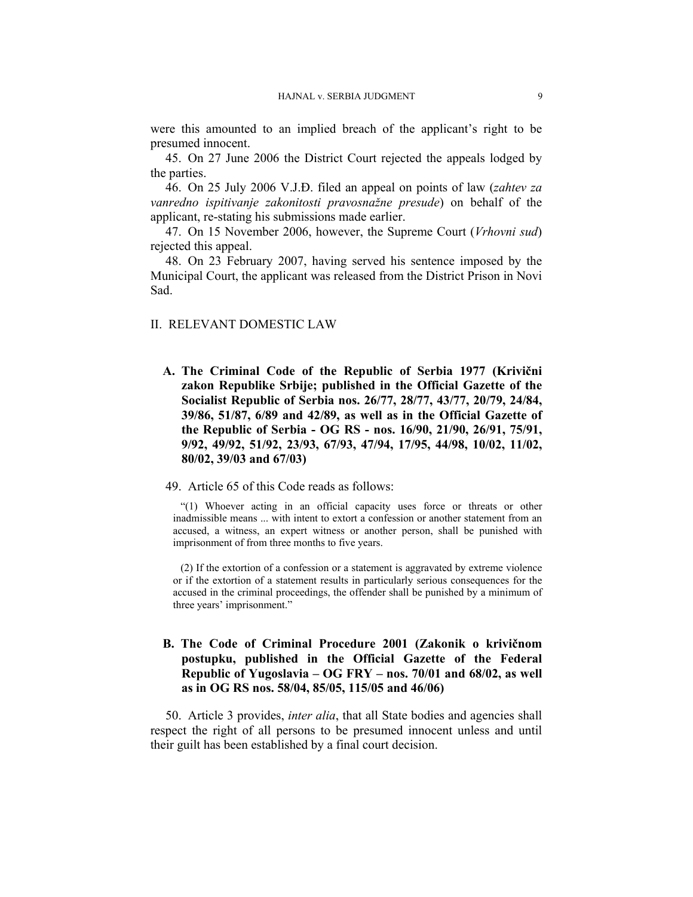were this amounted to an implied breach of the applicant's right to be presumed innocent.

45. On 27 June 2006 the District Court rejected the appeals lodged by the parties.

46. On 25 July 2006 V.J.Đ. filed an appeal on points of law (*zahtev za vanredno ispitivanje zakonitosti pravosnažne presude*) on behalf of the applicant, re-stating his submissions made earlier.

47. On 15 November 2006, however, the Supreme Court (*Vrhovni sud*) rejected this appeal.

48. On 23 February 2007, having served his sentence imposed by the Municipal Court, the applicant was released from the District Prison in Novi Sad.

### II. RELEVANT DOMESTIC LAW

**A. The Criminal Code of the Republic of Serbia 1977 (Krivični zakon Republike Srbije; published in the Official Gazette of the Socialist Republic of Serbia nos. 26/77, 28/77, 43/77, 20/79, 24/84, 39/86, 51/87, 6/89 and 42/89, as well as in the Official Gazette of the Republic of Serbia - OG RS - nos. 16/90, 21/90, 26/91, 75/91, 9/92, 49/92, 51/92, 23/93, 67/93, 47/94, 17/95, 44/98, 10/02, 11/02, 80/02, 39/03 and 67/03)** 

# 49. Article 65 of this Code reads as follows:

"(1) Whoever acting in an official capacity uses force or threats or other inadmissible means ... with intent to extort a confession or another statement from an accused, a witness, an expert witness or another person, shall be punished with imprisonment of from three months to five years.

(2) If the extortion of a confession or a statement is aggravated by extreme violence or if the extortion of a statement results in particularly serious consequences for the accused in the criminal proceedings, the offender shall be punished by a minimum of three years' imprisonment."

# **B. The Code of Criminal Procedure 2001 (Zakonik o krivičnom postupku, published in the Official Gazette of the Federal Republic of Yugoslavia – OG FRY – nos. 70/01 and 68/02, as well as in OG RS nos. 58/04, 85/05, 115/05 and 46/06)**

50. Article 3 provides, *inter alia*, that all State bodies and agencies shall respect the right of all persons to be presumed innocent unless and until their guilt has been established by a final court decision.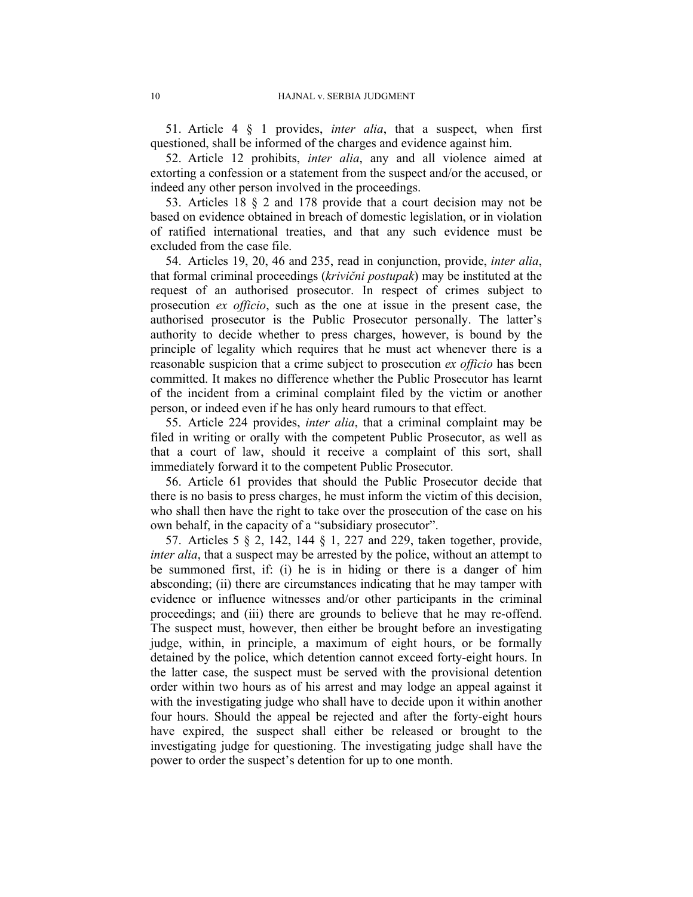51. Article 4 § 1 provides, *inter alia*, that a suspect, when first questioned, shall be informed of the charges and evidence against him.

52. Article 12 prohibits, *inter alia*, any and all violence aimed at extorting a confession or a statement from the suspect and/or the accused, or indeed any other person involved in the proceedings.

53. Articles 18 § 2 and 178 provide that a court decision may not be based on evidence obtained in breach of domestic legislation, or in violation of ratified international treaties, and that any such evidence must be excluded from the case file.

54. Articles 19, 20, 46 and 235, read in conjunction, provide, *inter alia*, that formal criminal proceedings (*krivični postupak*) may be instituted at the request of an authorised prosecutor. In respect of crimes subject to prosecution *ex officio*, such as the one at issue in the present case, the authorised prosecutor is the Public Prosecutor personally. The latter's authority to decide whether to press charges, however, is bound by the principle of legality which requires that he must act whenever there is a reasonable suspicion that a crime subject to prosecution *ex officio* has been committed. It makes no difference whether the Public Prosecutor has learnt of the incident from a criminal complaint filed by the victim or another person, or indeed even if he has only heard rumours to that effect.

55. Article 224 provides, *inter alia*, that a criminal complaint may be filed in writing or orally with the competent Public Prosecutor, as well as that a court of law, should it receive a complaint of this sort, shall immediately forward it to the competent Public Prosecutor.

56. Article 61 provides that should the Public Prosecutor decide that there is no basis to press charges, he must inform the victim of this decision, who shall then have the right to take over the prosecution of the case on his own behalf, in the capacity of a "subsidiary prosecutor".

57. Articles 5 § 2, 142, 144 § 1, 227 and 229, taken together, provide, *inter alia*, that a suspect may be arrested by the police, without an attempt to be summoned first, if: (i) he is in hiding or there is a danger of him absconding; (ii) there are circumstances indicating that he may tamper with evidence or influence witnesses and/or other participants in the criminal proceedings; and (iii) there are grounds to believe that he may re-offend. The suspect must, however, then either be brought before an investigating judge, within, in principle, a maximum of eight hours, or be formally detained by the police, which detention cannot exceed forty-eight hours. In the latter case, the suspect must be served with the provisional detention order within two hours as of his arrest and may lodge an appeal against it with the investigating judge who shall have to decide upon it within another four hours. Should the appeal be rejected and after the forty-eight hours have expired, the suspect shall either be released or brought to the investigating judge for questioning. The investigating judge shall have the power to order the suspect's detention for up to one month.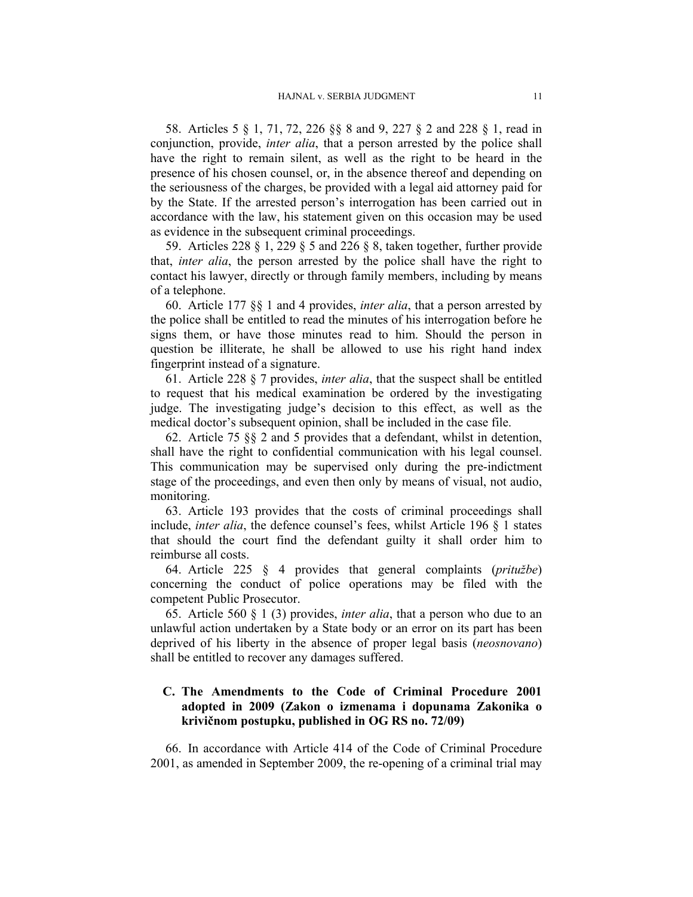58. Articles 5 § 1, 71, 72, 226 §§ 8 and 9, 227 § 2 and 228 § 1, read in conjunction, provide, *inter alia*, that a person arrested by the police shall have the right to remain silent, as well as the right to be heard in the presence of his chosen counsel, or, in the absence thereof and depending on the seriousness of the charges, be provided with a legal aid attorney paid for by the State. If the arrested person's interrogation has been carried out in accordance with the law, his statement given on this occasion may be used as evidence in the subsequent criminal proceedings.

59. Articles 228 § 1, 229 § 5 and 226 § 8, taken together, further provide that, *inter alia*, the person arrested by the police shall have the right to contact his lawyer, directly or through family members, including by means of a telephone.

60. Article 177 §§ 1 and 4 provides, *inter alia*, that a person arrested by the police shall be entitled to read the minutes of his interrogation before he signs them, or have those minutes read to him. Should the person in question be illiterate, he shall be allowed to use his right hand index fingerprint instead of a signature.

61. Article 228 § 7 provides, *inter alia*, that the suspect shall be entitled to request that his medical examination be ordered by the investigating judge. The investigating judge's decision to this effect, as well as the medical doctor's subsequent opinion, shall be included in the case file.

62. Article 75 §§ 2 and 5 provides that a defendant, whilst in detention, shall have the right to confidential communication with his legal counsel. This communication may be supervised only during the pre-indictment stage of the proceedings, and even then only by means of visual, not audio, monitoring.

63. Article 193 provides that the costs of criminal proceedings shall include, *inter alia*, the defence counsel's fees, whilst Article 196 § 1 states that should the court find the defendant guilty it shall order him to reimburse all costs.

64. Article 225 § 4 provides that general complaints (*pritužbe*) concerning the conduct of police operations may be filed with the competent Public Prosecutor.

65. Article 560 § 1 (3) provides, *inter alia*, that a person who due to an unlawful action undertaken by a State body or an error on its part has been deprived of his liberty in the absence of proper legal basis (*neosnovano*) shall be entitled to recover any damages suffered.

# **C. The Amendments to the Code of Criminal Procedure 2001 adopted in 2009 (Zakon o izmenama i dopunama Zakonika o krivičnom postupku, published in OG RS no. 72/09)**

66. In accordance with Article 414 of the Code of Criminal Procedure 2001, as amended in September 2009, the re-opening of a criminal trial may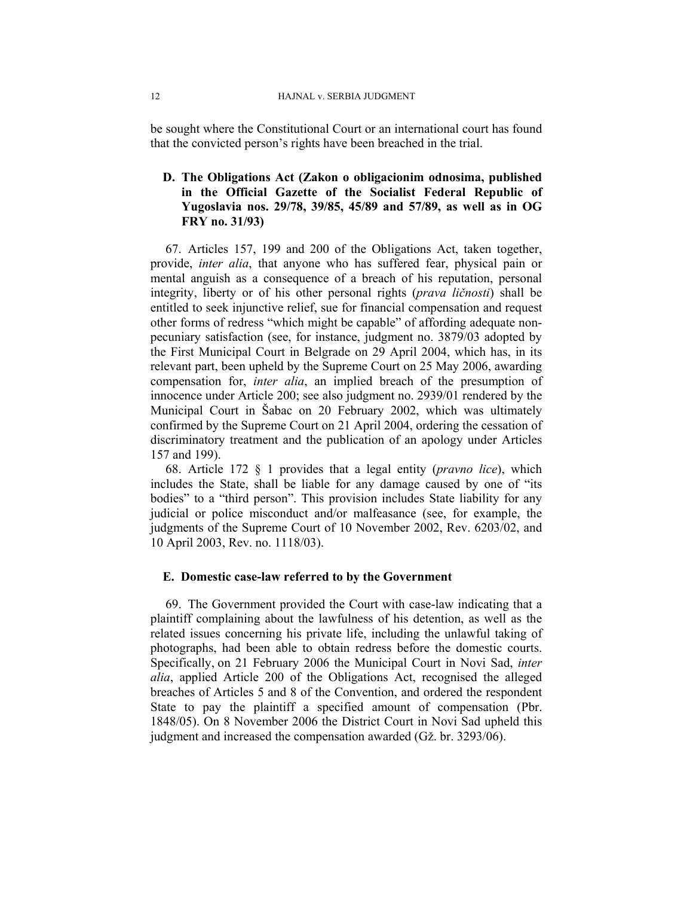be sought where the Constitutional Court or an international court has found that the convicted person's rights have been breached in the trial.

# **D. The Obligations Act (Zakon o obligacionim odnosima, published in the Official Gazette of the Socialist Federal Republic of Yugoslavia nos. 29/78, 39/85, 45/89 and 57/89, as well as in OG FRY no. 31/93)**

67. Articles 157, 199 and 200 of the Obligations Act, taken together, provide, *inter alia*, that anyone who has suffered fear, physical pain or mental anguish as a consequence of a breach of his reputation, personal integrity, liberty or of his other personal rights (*prava ličnosti*) shall be entitled to seek injunctive relief, sue for financial compensation and request other forms of redress "which might be capable" of affording adequate nonpecuniary satisfaction (see, for instance, judgment no. 3879/03 adopted by the First Municipal Court in Belgrade on 29 April 2004, which has, in its relevant part, been upheld by the Supreme Court on 25 May 2006, awarding compensation for, *inter alia*, an implied breach of the presumption of innocence under Article 200; see also judgment no. 2939/01 rendered by the Municipal Court in Šabac on 20 February 2002, which was ultimately confirmed by the Supreme Court on 21 April 2004, ordering the cessation of discriminatory treatment and the publication of an apology under Articles 157 and 199).

68. Article 172 § 1 provides that a legal entity (*pravno lice*), which includes the State, shall be liable for any damage caused by one of "its bodies" to a "third person". This provision includes State liability for any judicial or police misconduct and/or malfeasance (see, for example, the judgments of the Supreme Court of 10 November 2002, Rev. 6203/02, and 10 April 2003, Rev. no. 1118/03).

# **E. Domestic case-law referred to by the Government**

69. The Government provided the Court with case-law indicating that a plaintiff complaining about the lawfulness of his detention, as well as the related issues concerning his private life, including the unlawful taking of photographs, had been able to obtain redress before the domestic courts. Specifically, on 21 February 2006 the Municipal Court in Novi Sad, *inter alia*, applied Article 200 of the Obligations Act, recognised the alleged breaches of Articles 5 and 8 of the Convention, and ordered the respondent State to pay the plaintiff a specified amount of compensation (Pbr. 1848/05). On 8 November 2006 the District Court in Novi Sad upheld this judgment and increased the compensation awarded (Gž. br. 3293/06).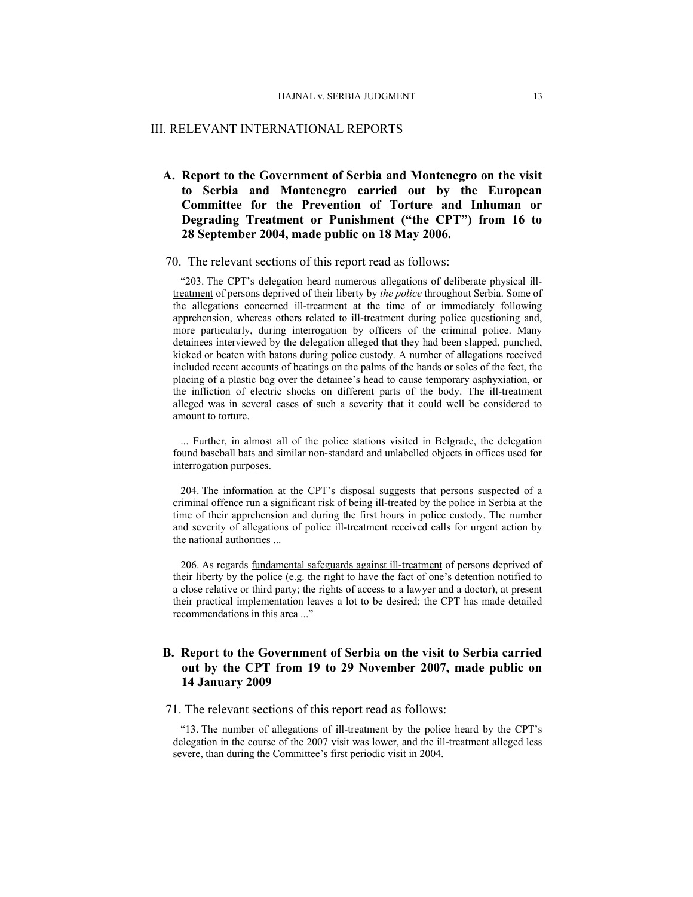#### III. RELEVANT INTERNATIONAL REPORTS

# **A. Report to the Government of Serbia and Montenegro on the visit to Serbia and Montenegro carried out by the European Committee for the Prevention of Torture and Inhuman or Degrading Treatment or Punishment ("the CPT") from 16 to 28 September 2004, made public on 18 May 2006.**

### 70. The relevant sections of this report read as follows:

"203. The CPT's delegation heard numerous allegations of deliberate physical illtreatment of persons deprived of their liberty by *the police* throughout Serbia. Some of the allegations concerned ill-treatment at the time of or immediately following apprehension, whereas others related to ill-treatment during police questioning and, more particularly, during interrogation by officers of the criminal police. Many detainees interviewed by the delegation alleged that they had been slapped, punched, kicked or beaten with batons during police custody. A number of allegations received included recent accounts of beatings on the palms of the hands or soles of the feet, the placing of a plastic bag over the detainee's head to cause temporary asphyxiation, or the infliction of electric shocks on different parts of the body. The ill-treatment alleged was in several cases of such a severity that it could well be considered to amount to torture.

... Further, in almost all of the police stations visited in Belgrade, the delegation found baseball bats and similar non-standard and unlabelled objects in offices used for interrogation purposes.

204. The information at the CPT's disposal suggests that persons suspected of a criminal offence run a significant risk of being ill-treated by the police in Serbia at the time of their apprehension and during the first hours in police custody. The number and severity of allegations of police ill-treatment received calls for urgent action by the national authorities ...

206. As regards fundamental safeguards against ill-treatment of persons deprived of their liberty by the police (e.g. the right to have the fact of one's detention notified to a close relative or third party; the rights of access to a lawyer and a doctor), at present their practical implementation leaves a lot to be desired; the CPT has made detailed recommendations in this area ..."

# **B. Report to the Government of Serbia on the visit to Serbia carried out by the CPT from 19 to 29 November 2007, made public on 14 January 2009**

### 71. The relevant sections of this report read as follows:

"13. The number of allegations of ill-treatment by the police heard by the CPT's delegation in the course of the 2007 visit was lower, and the ill-treatment alleged less severe, than during the Committee's first periodic visit in 2004.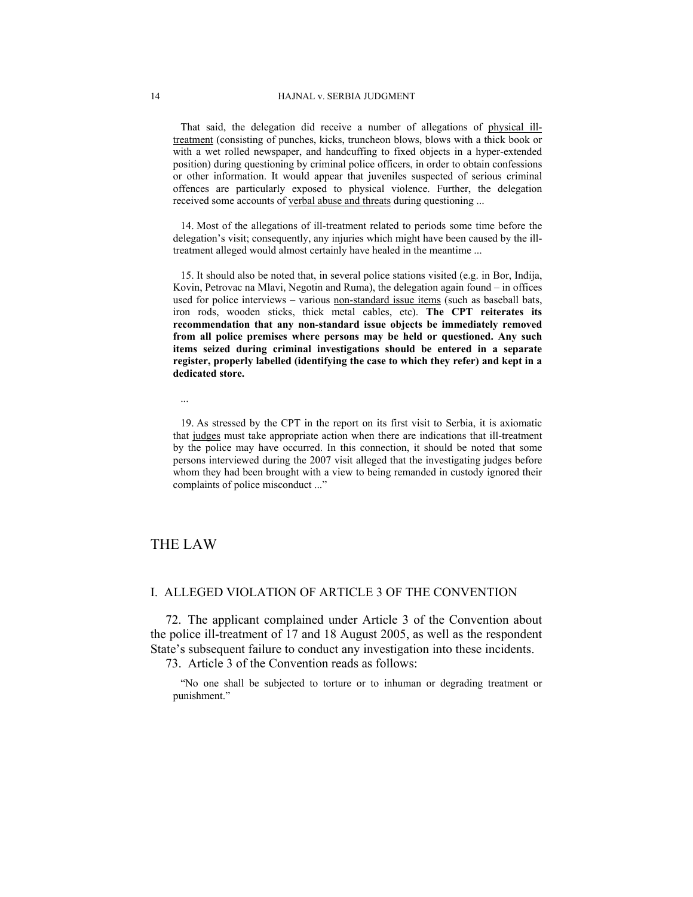That said, the delegation did receive a number of allegations of physical illtreatment (consisting of punches, kicks, truncheon blows, blows with a thick book or with a wet rolled newspaper, and handcuffing to fixed objects in a hyper-extended position) during questioning by criminal police officers, in order to obtain confessions or other information. It would appear that juveniles suspected of serious criminal offences are particularly exposed to physical violence. Further, the delegation received some accounts of verbal abuse and threats during questioning ...

14. Most of the allegations of ill-treatment related to periods some time before the delegation's visit; consequently, any injuries which might have been caused by the illtreatment alleged would almost certainly have healed in the meantime ...

15. It should also be noted that, in several police stations visited (e.g. in Bor, Inđija, Kovin, Petrovac na Mlavi, Negotin and Ruma), the delegation again found – in offices used for police interviews – various non-standard issue items (such as baseball bats, iron rods, wooden sticks, thick metal cables, etc). **The CPT reiterates its recommendation that any non-standard issue objects be immediately removed from all police premises where persons may be held or questioned. Any such items seized during criminal investigations should be entered in a separate register, properly labelled (identifying the case to which they refer) and kept in a dedicated store.** 

...

19. As stressed by the CPT in the report on its first visit to Serbia, it is axiomatic that judges must take appropriate action when there are indications that ill-treatment by the police may have occurred. In this connection, it should be noted that some persons interviewed during the 2007 visit alleged that the investigating judges before whom they had been brought with a view to being remanded in custody ignored their complaints of police misconduct ..."

# THE LAW

### I. ALLEGED VIOLATION OF ARTICLE 3 OF THE CONVENTION

72. The applicant complained under Article 3 of the Convention about the police ill-treatment of 17 and 18 August 2005, as well as the respondent State's subsequent failure to conduct any investigation into these incidents.

73. Article 3 of the Convention reads as follows:

"No one shall be subjected to torture or to inhuman or degrading treatment or punishment."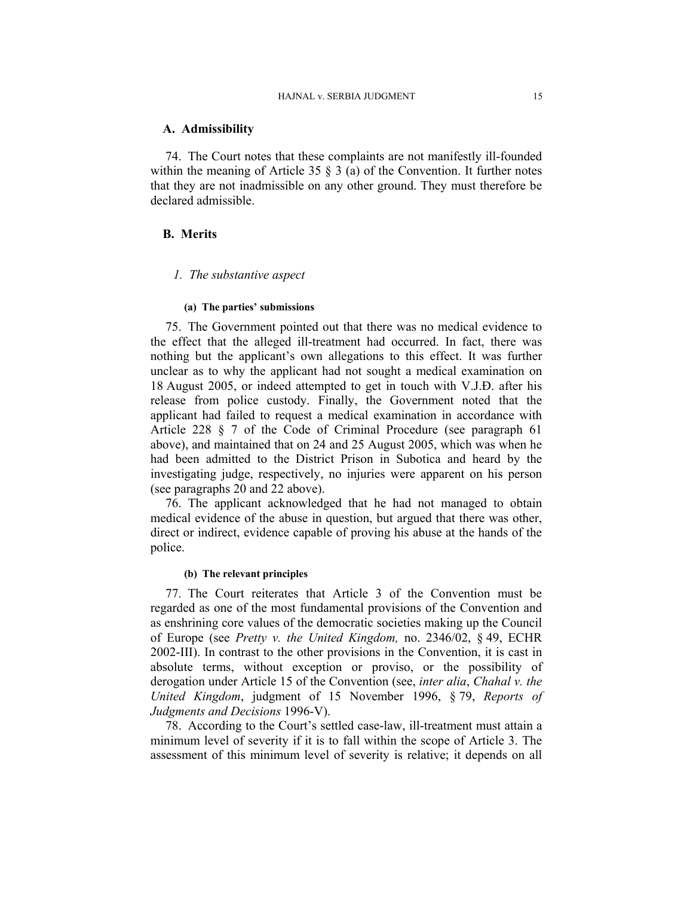### **A. Admissibility**

74. The Court notes that these complaints are not manifestly ill-founded within the meaning of Article 35  $\S$  3 (a) of the Convention. It further notes that they are not inadmissible on any other ground. They must therefore be declared admissible.

# **B. Merits**

# *1. The substantive aspect*

#### **(a) The parties' submissions**

75. The Government pointed out that there was no medical evidence to the effect that the alleged ill-treatment had occurred. In fact, there was nothing but the applicant's own allegations to this effect. It was further unclear as to why the applicant had not sought a medical examination on 18 August 2005, or indeed attempted to get in touch with V.J.Đ. after his release from police custody. Finally, the Government noted that the applicant had failed to request a medical examination in accordance with Article 228 § 7 of the Code of Criminal Procedure (see paragraph 61 above), and maintained that on 24 and 25 August 2005, which was when he had been admitted to the District Prison in Subotica and heard by the investigating judge, respectively, no injuries were apparent on his person (see paragraphs 20 and 22 above).

76. The applicant acknowledged that he had not managed to obtain medical evidence of the abuse in question, but argued that there was other, direct or indirect, evidence capable of proving his abuse at the hands of the police.

#### **(b) The relevant principles**

77. The Court reiterates that Article 3 of the Convention must be regarded as one of the most fundamental provisions of the Convention and as enshrining core values of the democratic societies making up the Council of Europe (see *Pretty v. the United Kingdom,* no. 2346/02, § 49, ECHR 2002-III). In contrast to the other provisions in the Convention, it is cast in absolute terms, without exception or proviso, or the possibility of derogation under Article 15 of the Convention (see, *inter alia*, *Chahal v. the United Kingdom*, judgment of 15 November 1996, § 79, *Reports of Judgments and Decisions* 1996-V).

78. According to the Court's settled case-law, ill-treatment must attain a minimum level of severity if it is to fall within the scope of Article 3. The assessment of this minimum level of severity is relative; it depends on all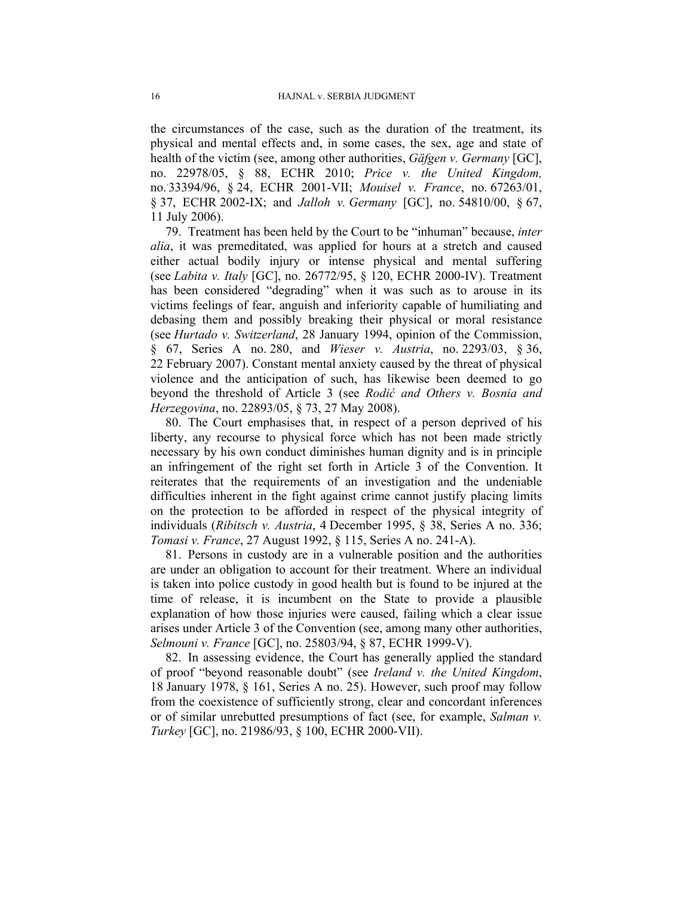the circumstances of the case, such as the duration of the treatment, its physical and mental effects and, in some cases, the sex, age and state of health of the victim (see, among other authorities, *Gäfgen v. Germany* [GC], no. 22978/05, § 88, ECHR 2010; *Price v. the United Kingdom,*  no.. 33394/96, § 24, ECHR 2001-VII; *Mouisel v. France*, no. 67263/01, § 37, ECHR 2002-IX; and *Jalloh v. Germany* [GC], no. 54810/00, § 67, 11 July 2006).

79. Treatment has been held by the Court to be "inhuman" because, *inter alia*, it was premeditated, was applied for hours at a stretch and caused either actual bodily injury or intense physical and mental suffering (see *Labita v. Italy* [GC], no. 26772/95, § 120, ECHR 2000-IV). Treatment has been considered "degrading" when it was such as to arouse in its victims feelings of fear, anguish and inferiority capable of humiliating and debasing them and possibly breaking their physical or moral resistance (see *Hurtado v. Switzerland*, 28 January 1994, opinion of the Commission, § 67, Series A no. 280, and *Wieser v. Austria*, no. 2293/03, § 36, 22 February 2007). Constant mental anxiety caused by the threat of physical violence and the anticipation of such, has likewise been deemed to go beyond the threshold of Article 3 (see *Rodić and Others v. Bosnia and Herzegovina*, no. 22893/05, § 73, 27 May 2008).

80. The Court emphasises that, in respect of a person deprived of his liberty, any recourse to physical force which has not been made strictly necessary by his own conduct diminishes human dignity and is in principle an infringement of the right set forth in Article 3 of the Convention. It reiterates that the requirements of an investigation and the undeniable difficulties inherent in the fight against crime cannot justify placing limits on the protection to be afforded in respect of the physical integrity of individuals (*Ribitsch v. Austria*, 4 December 1995, § 38, Series A no. 336; *Tomasi v. France*, 27 August 1992, § 115, Series A no. 241-A).

81. Persons in custody are in a vulnerable position and the authorities are under an obligation to account for their treatment. Where an individual is taken into police custody in good health but is found to be injured at the time of release, it is incumbent on the State to provide a plausible explanation of how those injuries were caused, failing which a clear issue arises under Article 3 of the Convention (see, among many other authorities, *Selmouni v. France* [GC], no. 25803/94, § 87, ECHR 1999-V).

82. In assessing evidence, the Court has generally applied the standard of proof "beyond reasonable doubt" (see *Ireland v. the United Kingdom*, 18 January 1978, § 161, Series A no. 25). However, such proof may follow from the coexistence of sufficiently strong, clear and concordant inferences or of similar unrebutted presumptions of fact (see, for example, *Salman v. Turkey* [GC], no. 21986/93, § 100, ECHR 2000-VII).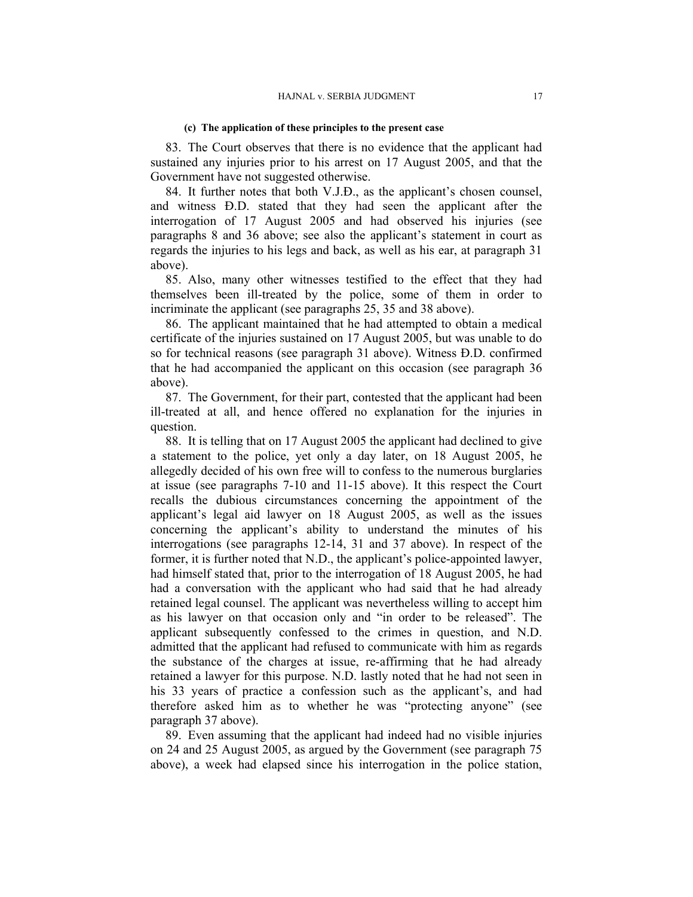#### **(c) The application of these principles to the present case**

83. The Court observes that there is no evidence that the applicant had sustained any injuries prior to his arrest on 17 August 2005, and that the Government have not suggested otherwise.

84. It further notes that both V.J.Đ., as the applicant's chosen counsel, and witness Đ.D. stated that they had seen the applicant after the interrogation of 17 August 2005 and had observed his injuries (see paragraphs 8 and 36 above; see also the applicant's statement in court as regards the injuries to his legs and back, as well as his ear, at paragraph 31 above).

85. Also, many other witnesses testified to the effect that they had themselves been ill-treated by the police, some of them in order to incriminate the applicant (see paragraphs 25, 35 and 38 above).

86. The applicant maintained that he had attempted to obtain a medical certificate of the injuries sustained on 17 August 2005, but was unable to do so for technical reasons (see paragraph 31 above). Witness Đ.D. confirmed that he had accompanied the applicant on this occasion (see paragraph 36 above).

87. The Government, for their part, contested that the applicant had been ill-treated at all, and hence offered no explanation for the injuries in question.

88. It is telling that on 17 August 2005 the applicant had declined to give a statement to the police, yet only a day later, on 18 August 2005, he allegedly decided of his own free will to confess to the numerous burglaries at issue (see paragraphs 7-10 and 11-15 above). It this respect the Court recalls the dubious circumstances concerning the appointment of the applicant's legal aid lawyer on 18 August 2005, as well as the issues concerning the applicant's ability to understand the minutes of his interrogations (see paragraphs 12-14, 31 and 37 above). In respect of the former, it is further noted that N.D., the applicant's police-appointed lawyer, had himself stated that, prior to the interrogation of 18 August 2005, he had had a conversation with the applicant who had said that he had already retained legal counsel. The applicant was nevertheless willing to accept him as his lawyer on that occasion only and "in order to be released". The applicant subsequently confessed to the crimes in question, and N.D. admitted that the applicant had refused to communicate with him as regards the substance of the charges at issue, re-affirming that he had already retained a lawyer for this purpose. N.D. lastly noted that he had not seen in his 33 years of practice a confession such as the applicant's, and had therefore asked him as to whether he was "protecting anyone" (see paragraph 37 above).

89. Even assuming that the applicant had indeed had no visible injuries on 24 and 25 August 2005, as argued by the Government (see paragraph 75 above), a week had elapsed since his interrogation in the police station,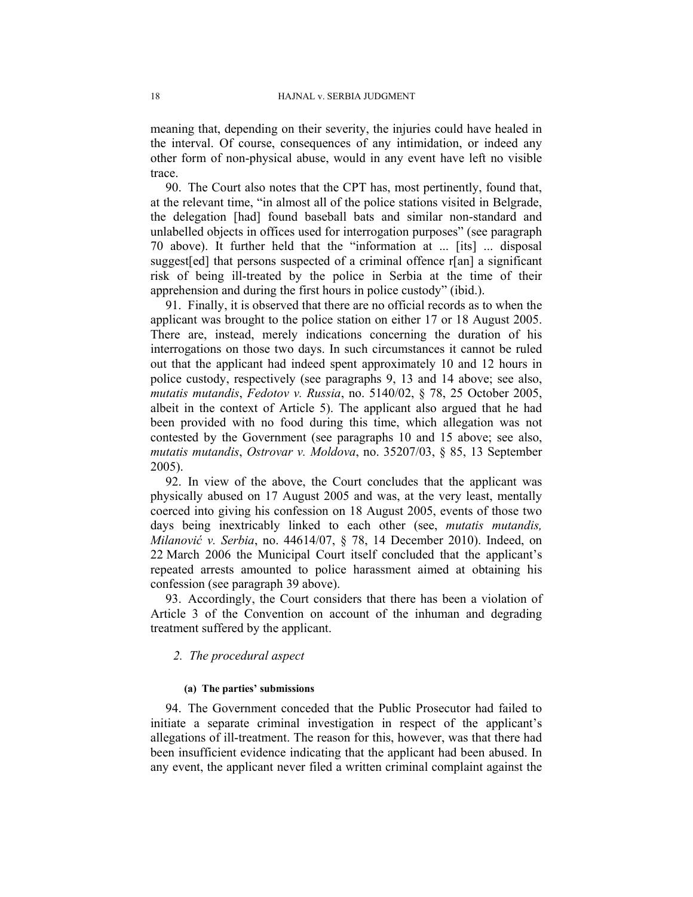meaning that, depending on their severity, the injuries could have healed in the interval. Of course, consequences of any intimidation, or indeed any other form of non-physical abuse, would in any event have left no visible trace.

90. The Court also notes that the CPT has, most pertinently, found that, at the relevant time, "in almost all of the police stations visited in Belgrade, the delegation [had] found baseball bats and similar non-standard and unlabelled objects in offices used for interrogation purposes" (see paragraph 70 above). It further held that the "information at ... [its] ... disposal suggest[ed] that persons suspected of a criminal offence r[an] a significant risk of being ill-treated by the police in Serbia at the time of their apprehension and during the first hours in police custody" (ibid.).

91. Finally, it is observed that there are no official records as to when the applicant was brought to the police station on either 17 or 18 August 2005. There are, instead, merely indications concerning the duration of his interrogations on those two days. In such circumstances it cannot be ruled out that the applicant had indeed spent approximately 10 and 12 hours in police custody, respectively (see paragraphs 9, 13 and 14 above; see also, *mutatis mutandis*, *Fedotov v. Russia*, no. 5140/02, § 78, 25 October 2005, albeit in the context of Article 5). The applicant also argued that he had been provided with no food during this time, which allegation was not contested by the Government (see paragraphs 10 and 15 above; see also, *mutatis mutandis*, *Ostrovar v. Moldova*, no. 35207/03, § 85, 13 September 2005).

92. In view of the above, the Court concludes that the applicant was physically abused on 17 August 2005 and was, at the very least, mentally coerced into giving his confession on 18 August 2005, events of those two days being inextricably linked to each other (see, *mutatis mutandis, Milanović v. Serbia*, no. 44614/07, § 78, 14 December 2010). Indeed, on 22 March 2006 the Municipal Court itself concluded that the applicant's repeated arrests amounted to police harassment aimed at obtaining his confession (see paragraph 39 above).

93. Accordingly, the Court considers that there has been a violation of Article 3 of the Convention on account of the inhuman and degrading treatment suffered by the applicant.

### *2. The procedural aspect*

#### **(a) The parties' submissions**

94. The Government conceded that the Public Prosecutor had failed to initiate a separate criminal investigation in respect of the applicant's allegations of ill-treatment. The reason for this, however, was that there had been insufficient evidence indicating that the applicant had been abused. In any event, the applicant never filed a written criminal complaint against the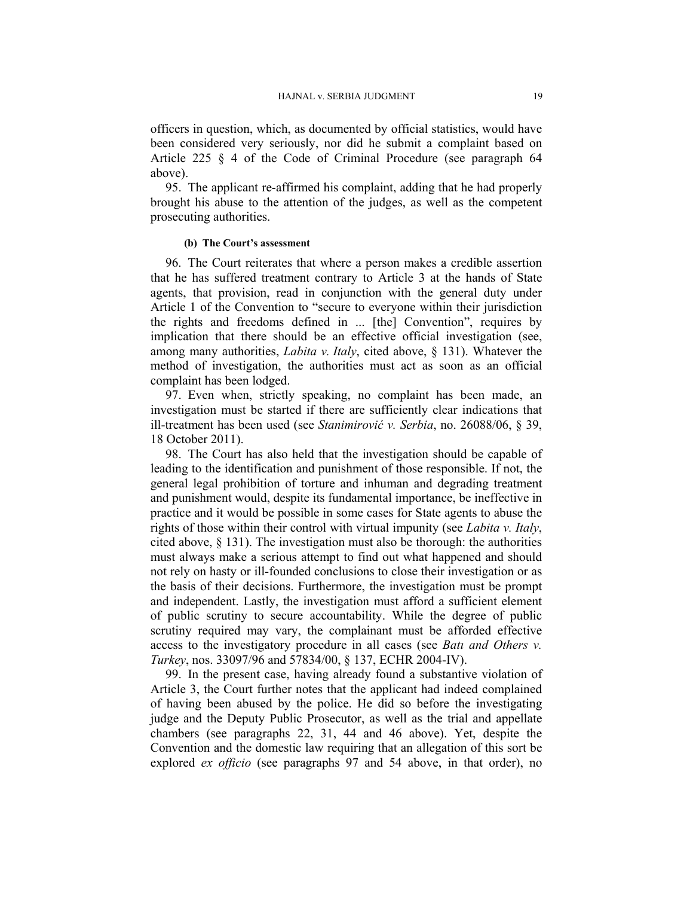officers in question, which, as documented by official statistics, would have been considered very seriously, nor did he submit a complaint based on Article 225 § 4 of the Code of Criminal Procedure (see paragraph 64 above).

95. The applicant re-affirmed his complaint, adding that he had properly brought his abuse to the attention of the judges, as well as the competent prosecuting authorities.

### **(b) The Court's assessment**

96. The Court reiterates that where a person makes a credible assertion that he has suffered treatment contrary to Article 3 at the hands of State agents, that provision, read in conjunction with the general duty under Article 1 of the Convention to "secure to everyone within their jurisdiction the rights and freedoms defined in ... [the] Convention", requires by implication that there should be an effective official investigation (see, among many authorities, *Labita v. Italy*, cited above, § 131). Whatever the method of investigation, the authorities must act as soon as an official complaint has been lodged.

97. Even when, strictly speaking, no complaint has been made, an investigation must be started if there are sufficiently clear indications that ill-treatment has been used (see *Stanimirović v. Serbia*, no. 26088/06, § 39, 18 October 2011).

98. The Court has also held that the investigation should be capable of leading to the identification and punishment of those responsible. If not, the general legal prohibition of torture and inhuman and degrading treatment and punishment would, despite its fundamental importance, be ineffective in practice and it would be possible in some cases for State agents to abuse the rights of those within their control with virtual impunity (see *Labita v. Italy*, cited above, § 131). The investigation must also be thorough: the authorities must always make a serious attempt to find out what happened and should not rely on hasty or ill-founded conclusions to close their investigation or as the basis of their decisions. Furthermore, the investigation must be prompt and independent. Lastly, the investigation must afford a sufficient element of public scrutiny to secure accountability. While the degree of public scrutiny required may vary, the complainant must be afforded effective access to the investigatory procedure in all cases (see *Batı and Others v. Turkey*, nos. 33097/96 and 57834/00, § 137, ECHR 2004-IV).

99. In the present case, having already found a substantive violation of Article 3, the Court further notes that the applicant had indeed complained of having been abused by the police. He did so before the investigating judge and the Deputy Public Prosecutor, as well as the trial and appellate chambers (see paragraphs 22, 31, 44 and 46 above). Yet, despite the Convention and the domestic law requiring that an allegation of this sort be explored *ex officio* (see paragraphs 97 and 54 above, in that order), no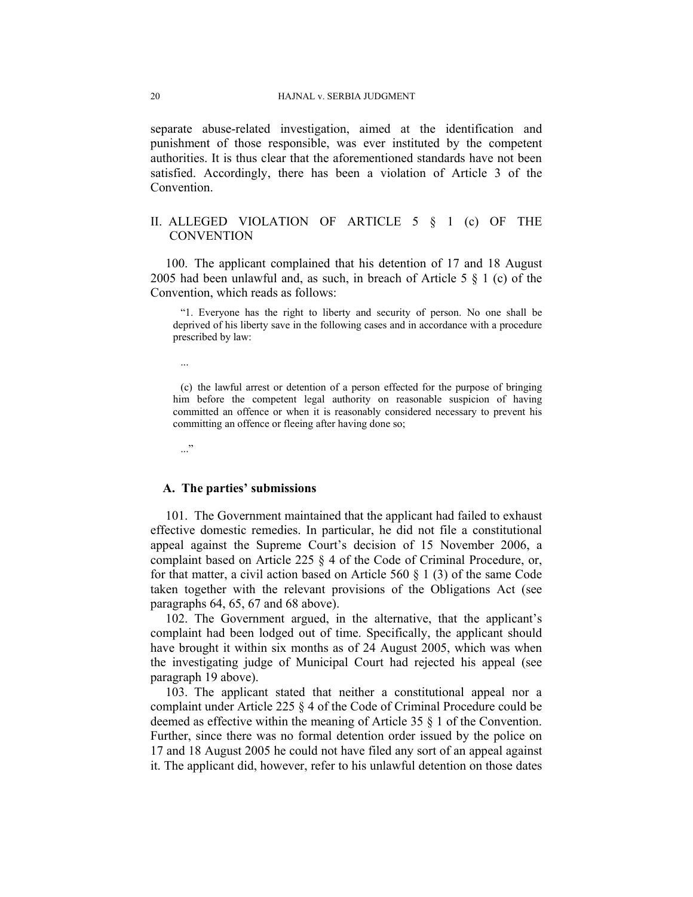separate abuse-related investigation, aimed at the identification and punishment of those responsible, was ever instituted by the competent authorities. It is thus clear that the aforementioned standards have not been satisfied. Accordingly, there has been a violation of Article 3 of the Convention.

# II. ALLEGED VIOLATION OF ARTICLE 5 § 1 (c) OF THE **CONVENTION**

100. The applicant complained that his detention of 17 and 18 August 2005 had been unlawful and, as such, in breach of Article 5 § 1 (c) of the Convention, which reads as follows:

"1. Everyone has the right to liberty and security of person. No one shall be deprived of his liberty save in the following cases and in accordance with a procedure prescribed by law:

...

(c) the lawful arrest or detention of a person effected for the purpose of bringing him before the competent legal authority on reasonable suspicion of having committed an offence or when it is reasonably considered necessary to prevent his committing an offence or fleeing after having done so;

..."

#### **A. The parties' submissions**

101. The Government maintained that the applicant had failed to exhaust effective domestic remedies. In particular, he did not file a constitutional appeal against the Supreme Court's decision of 15 November 2006, a complaint based on Article 225 § 4 of the Code of Criminal Procedure, or, for that matter, a civil action based on Article 560  $\S$  1 (3) of the same Code taken together with the relevant provisions of the Obligations Act (see paragraphs 64, 65, 67 and 68 above).

102. The Government argued, in the alternative, that the applicant's complaint had been lodged out of time. Specifically, the applicant should have brought it within six months as of 24 August 2005, which was when the investigating judge of Municipal Court had rejected his appeal (see paragraph 19 above).

103. The applicant stated that neither a constitutional appeal nor a complaint under Article 225 § 4 of the Code of Criminal Procedure could be deemed as effective within the meaning of Article 35 § 1 of the Convention. Further, since there was no formal detention order issued by the police on 17 and 18 August 2005 he could not have filed any sort of an appeal against it. The applicant did, however, refer to his unlawful detention on those dates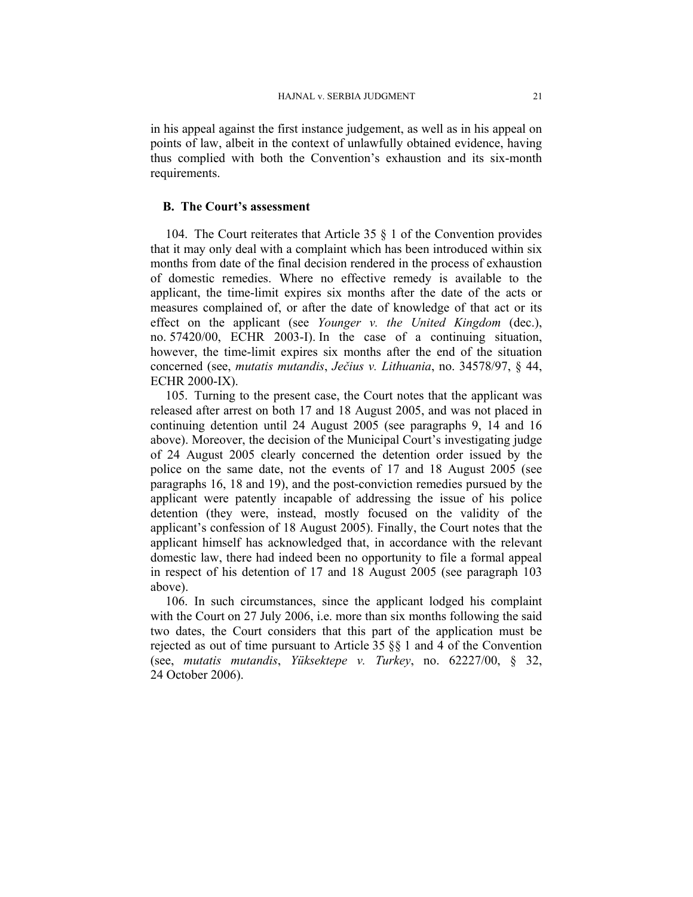in his appeal against the first instance judgement, as well as in his appeal on points of law, albeit in the context of unlawfully obtained evidence, having thus complied with both the Convention's exhaustion and its six-month requirements.

### **B. The Court's assessment**

104. The Court reiterates that Article 35  $\S$  1 of the Convention provides that it may only deal with a complaint which has been introduced within six months from date of the final decision rendered in the process of exhaustion of domestic remedies. Where no effective remedy is available to the applicant, the time-limit expires six months after the date of the acts or measures complained of, or after the date of knowledge of that act or its effect on the applicant (see *Younger v. the United Kingdom* (dec.), no. 57420/00, ECHR 2003-I). In the case of a continuing situation, however, the time-limit expires six months after the end of the situation concerned (see, *mutatis mutandis*, *Ječius v. Lithuania*, no. 34578/97, § 44, ECHR 2000-IX).

105. Turning to the present case, the Court notes that the applicant was released after arrest on both 17 and 18 August 2005, and was not placed in continuing detention until 24 August 2005 (see paragraphs 9, 14 and 16 above). Moreover, the decision of the Municipal Court's investigating judge of 24 August 2005 clearly concerned the detention order issued by the police on the same date, not the events of 17 and 18 August 2005 (see paragraphs 16, 18 and 19), and the post-conviction remedies pursued by the applicant were patently incapable of addressing the issue of his police detention (they were, instead, mostly focused on the validity of the applicant's confession of 18 August 2005). Finally, the Court notes that the applicant himself has acknowledged that, in accordance with the relevant domestic law, there had indeed been no opportunity to file a formal appeal in respect of his detention of 17 and 18 August 2005 (see paragraph 103 above).

106. In such circumstances, since the applicant lodged his complaint with the Court on 27 July 2006, i.e. more than six months following the said two dates, the Court considers that this part of the application must be rejected as out of time pursuant to Article 35 §§ 1 and 4 of the Convention (see, *mutatis mutandis*, *Yüksektepe v. Turkey*, no. 62227/00, § 32, 24 October 2006).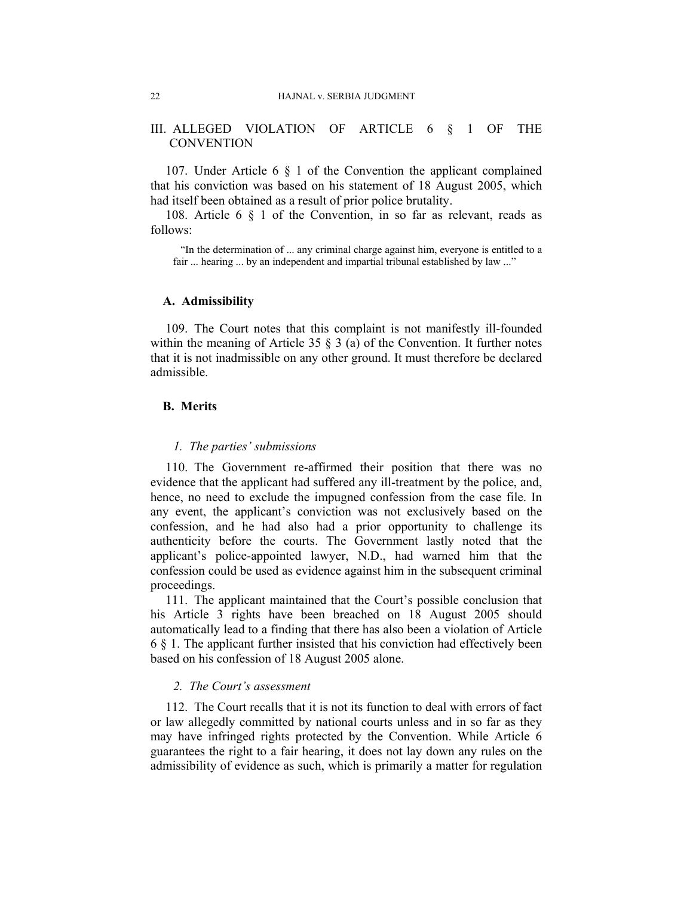# III. ALLEGED VIOLATION OF ARTICLE 6 § 1 OF THE **CONVENTION**

107. Under Article 6 § 1 of the Convention the applicant complained that his conviction was based on his statement of 18 August 2005, which had itself been obtained as a result of prior police brutality.

108. Article 6 § 1 of the Convention, in so far as relevant, reads as follows:

"In the determination of ... any criminal charge against him, everyone is entitled to a fair ... hearing ... by an independent and impartial tribunal established by law ..."

### **A. Admissibility**

109. The Court notes that this complaint is not manifestly ill-founded within the meaning of Article 35  $\S$  3 (a) of the Convention. It further notes that it is not inadmissible on any other ground. It must therefore be declared admissible.

# **B. Merits**

#### *1. The parties' submissions*

110. The Government re-affirmed their position that there was no evidence that the applicant had suffered any ill-treatment by the police, and, hence, no need to exclude the impugned confession from the case file. In any event, the applicant's conviction was not exclusively based on the confession, and he had also had a prior opportunity to challenge its authenticity before the courts. The Government lastly noted that the applicant's police-appointed lawyer, N.D., had warned him that the confession could be used as evidence against him in the subsequent criminal proceedings.

111. The applicant maintained that the Court's possible conclusion that his Article 3 rights have been breached on 18 August 2005 should automatically lead to a finding that there has also been a violation of Article 6 § 1. The applicant further insisted that his conviction had effectively been based on his confession of 18 August 2005 alone.

### *2. The Court's assessment*

112. The Court recalls that it is not its function to deal with errors of fact or law allegedly committed by national courts unless and in so far as they may have infringed rights protected by the Convention. While Article 6 guarantees the right to a fair hearing, it does not lay down any rules on the admissibility of evidence as such, which is primarily a matter for regulation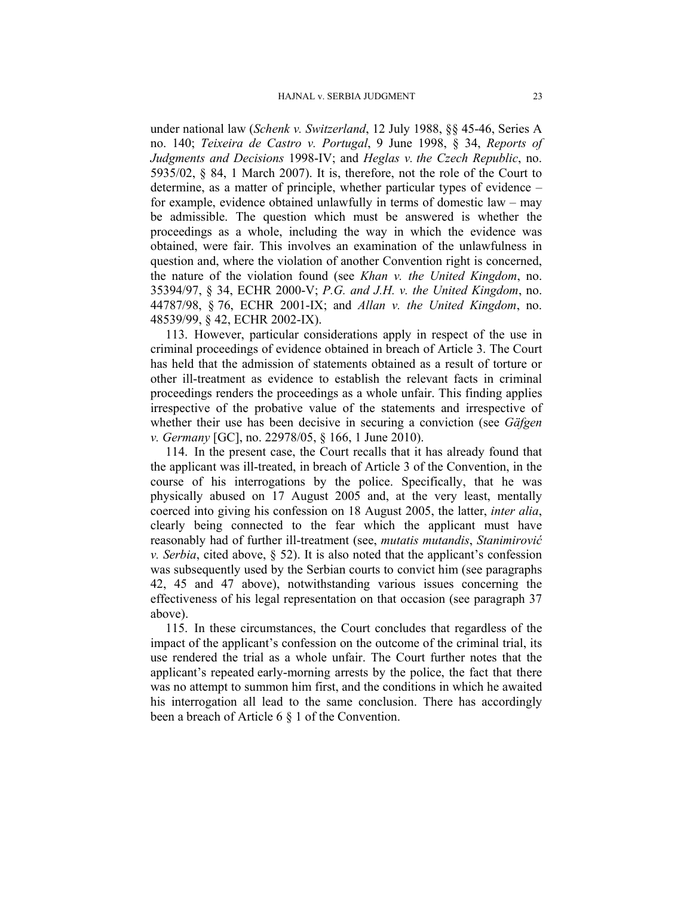under national law (*Schenk v. Switzerland*, 12 July 1988, §§ 45-46, Series A no. 140; *Teixeira de Castro v. Portugal*, 9 June 1998, § 34, *Reports of Judgments and Decisions* 1998-IV; and *Heglas v. the Czech Republic*, no. 5935/02, § 84, 1 March 2007). It is, therefore, not the role of the Court to determine, as a matter of principle, whether particular types of evidence – for example, evidence obtained unlawfully in terms of domestic law – may be admissible. The question which must be answered is whether the proceedings as a whole, including the way in which the evidence was obtained, were fair. This involves an examination of the unlawfulness in question and, where the violation of another Convention right is concerned, the nature of the violation found (see *Khan v. the United Kingdom*, no. 35394/97, § 34, ECHR 2000-V; *P.G. and J.H. v. the United Kingdom*, no. 44787/98, § 76, ECHR 2001-IX; and *Allan v. the United Kingdom*, no. 48539/99, § 42, ECHR 2002-IX).

113. However, particular considerations apply in respect of the use in criminal proceedings of evidence obtained in breach of Article 3. The Court has held that the admission of statements obtained as a result of torture or other ill-treatment as evidence to establish the relevant facts in criminal proceedings renders the proceedings as a whole unfair. This finding applies irrespective of the probative value of the statements and irrespective of whether their use has been decisive in securing a conviction (see *Gäfgen v. Germany* [GC], no. 22978/05, § 166, 1 June 2010).

114. In the present case, the Court recalls that it has already found that the applicant was ill-treated, in breach of Article 3 of the Convention, in the course of his interrogations by the police. Specifically, that he was physically abused on 17 August 2005 and, at the very least, mentally coerced into giving his confession on 18 August 2005, the latter, *inter alia*, clearly being connected to the fear which the applicant must have reasonably had of further ill-treatment (see, *mutatis mutandis*, *Stanimirović v. Serbia*, cited above, § 52). It is also noted that the applicant's confession was subsequently used by the Serbian courts to convict him (see paragraphs 42, 45 and 47 above), notwithstanding various issues concerning the effectiveness of his legal representation on that occasion (see paragraph 37 above).

115. In these circumstances, the Court concludes that regardless of the impact of the applicant's confession on the outcome of the criminal trial, its use rendered the trial as a whole unfair. The Court further notes that the applicant's repeated early-morning arrests by the police, the fact that there was no attempt to summon him first, and the conditions in which he awaited his interrogation all lead to the same conclusion. There has accordingly been a breach of Article 6 § 1 of the Convention.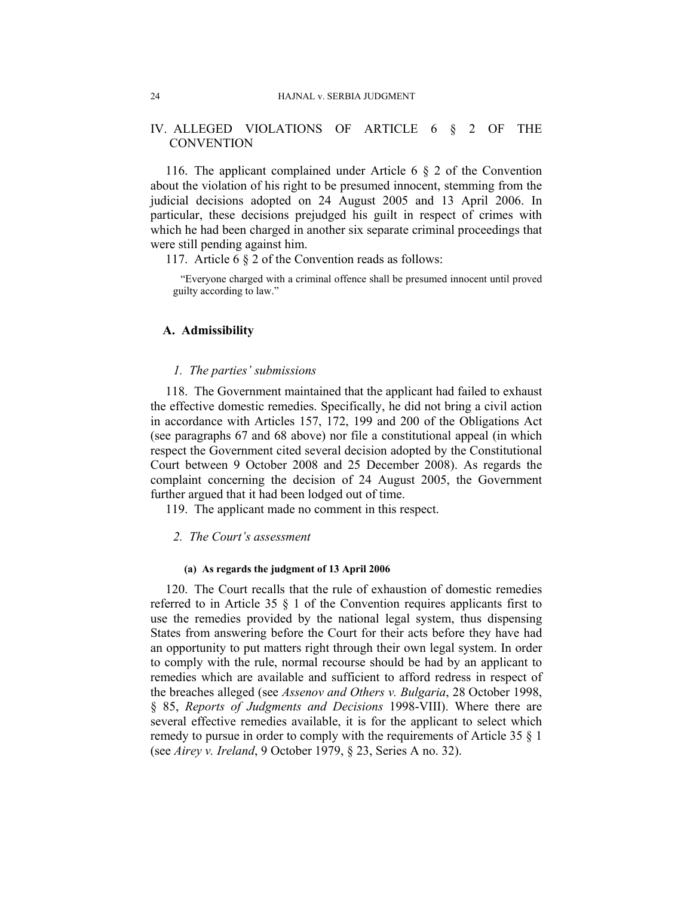# IV. ALLEGED VIOLATIONS OF ARTICLE 6 § 2 OF THE **CONVENTION**

116. The applicant complained under Article 6 § 2 of the Convention about the violation of his right to be presumed innocent, stemming from the judicial decisions adopted on 24 August 2005 and 13 April 2006. In particular, these decisions prejudged his guilt in respect of crimes with which he had been charged in another six separate criminal proceedings that were still pending against him.

117. Article 6 § 2 of the Convention reads as follows:

"Everyone charged with a criminal offence shall be presumed innocent until proved guilty according to law."

### **A. Admissibility**

#### *1. The parties' submissions*

118. The Government maintained that the applicant had failed to exhaust the effective domestic remedies. Specifically, he did not bring a civil action in accordance with Articles 157, 172, 199 and 200 of the Obligations Act (see paragraphs 67 and 68 above) nor file a constitutional appeal (in which respect the Government cited several decision adopted by the Constitutional Court between 9 October 2008 and 25 December 2008). As regards the complaint concerning the decision of 24 August 2005, the Government further argued that it had been lodged out of time.

119. The applicant made no comment in this respect.

### *2. The Court's assessment*

#### **(a) As regards the judgment of 13 April 2006**

120. The Court recalls that the rule of exhaustion of domestic remedies referred to in Article 35 § 1 of the Convention requires applicants first to use the remedies provided by the national legal system, thus dispensing States from answering before the Court for their acts before they have had an opportunity to put matters right through their own legal system. In order to comply with the rule, normal recourse should be had by an applicant to remedies which are available and sufficient to afford redress in respect of the breaches alleged (see *Assenov and Others v. Bulgaria*, 28 October 1998, § 85, *Reports of Judgments and Decisions* 1998-VIII). Where there are several effective remedies available, it is for the applicant to select which remedy to pursue in order to comply with the requirements of Article 35 § 1 (see *Airey v. Ireland*, 9 October 1979, § 23, Series A no. 32).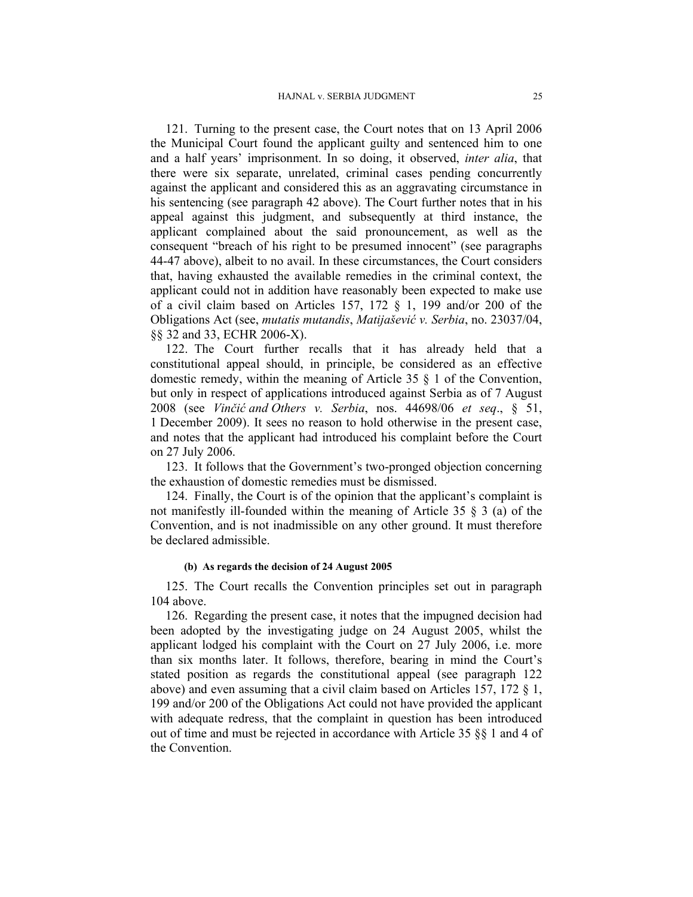121. Turning to the present case, the Court notes that on 13 April 2006 the Municipal Court found the applicant guilty and sentenced him to one and a half years' imprisonment. In so doing, it observed, *inter alia*, that there were six separate, unrelated, criminal cases pending concurrently against the applicant and considered this as an aggravating circumstance in his sentencing (see paragraph 42 above). The Court further notes that in his appeal against this judgment, and subsequently at third instance, the applicant complained about the said pronouncement, as well as the consequent "breach of his right to be presumed innocent" (see paragraphs 44-47 above), albeit to no avail. In these circumstances, the Court considers that, having exhausted the available remedies in the criminal context, the applicant could not in addition have reasonably been expected to make use of a civil claim based on Articles 157, 172 § 1, 199 and/or 200 of the Obligations Act (see, *mutatis mutandis*, *Matijašević v. Serbia*, no. 23037/04, §§ 32 and 33, ECHR 2006-X).

122. The Court further recalls that it has already held that a constitutional appeal should, in principle, be considered as an effective domestic remedy, within the meaning of Article 35 § 1 of the Convention, but only in respect of applications introduced against Serbia as of 7 August 2008 (see *Vinčić and Others v. Serbia*, nos. 44698/06 *et seq*., § 51, 1 December 2009). It sees no reason to hold otherwise in the present case, and notes that the applicant had introduced his complaint before the Court on 27 July 2006.

123. It follows that the Government's two-pronged objection concerning the exhaustion of domestic remedies must be dismissed.

124. Finally, the Court is of the opinion that the applicant's complaint is not manifestly ill-founded within the meaning of Article 35  $\S$  3 (a) of the Convention, and is not inadmissible on any other ground. It must therefore be declared admissible.

### **(b) As regards the decision of 24 August 2005**

125. The Court recalls the Convention principles set out in paragraph 104 above.

126. Regarding the present case, it notes that the impugned decision had been adopted by the investigating judge on 24 August 2005, whilst the applicant lodged his complaint with the Court on 27 July 2006, i.e. more than six months later. It follows, therefore, bearing in mind the Court's stated position as regards the constitutional appeal (see paragraph 122 above) and even assuming that a civil claim based on Articles 157, 172 § 1, 199 and/or 200 of the Obligations Act could not have provided the applicant with adequate redress, that the complaint in question has been introduced out of time and must be rejected in accordance with Article 35 §§ 1 and 4 of the Convention.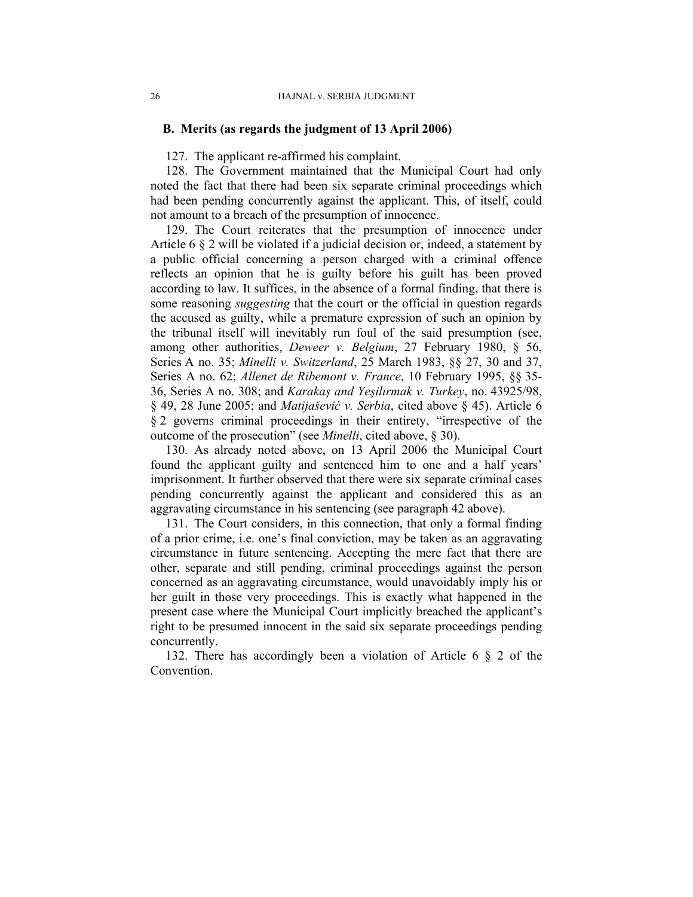### **B. Merits (as regards the judgment of 13 April 2006)**

127. The applicant re-affirmed his complaint.

128. The Government maintained that the Municipal Court had only noted the fact that there had been six separate criminal proceedings which had been pending concurrently against the applicant. This, of itself, could not amount to a breach of the presumption of innocence.

129. The Court reiterates that the presumption of innocence under Article 6 § 2 will be violated if a judicial decision or, indeed, a statement by a public official concerning a person charged with a criminal offence reflects an opinion that he is guilty before his guilt has been proved according to law. It suffices, in the absence of a formal finding, that there is some reasoning *suggesting* that the court or the official in question regards the accused as guilty, while a premature expression of such an opinion by the tribunal itself will inevitably run foul of the said presumption (see, among other authorities, *Deweer v. Belgium*, 27 February 1980, § 56, Series A no. 35; *Minelli v. Switzerland*, 25 March 1983, §§ 27, 30 and 37, Series A no. 62; *Allenet de Ribemont v. France*, 10 February 1995, §§ 35- 36, Series A no. 308; and *Karakaş and Yeşilırmak v. Turkey*, no. 43925/98, § 49, 28 June 2005; and *Matijašević v. Serbia*, cited above § 45). Article 6 § 2 governs criminal proceedings in their entirety, "irrespective of the outcome of the prosecution" (see *Minelli*, cited above, § 30).

130. As already noted above, on 13 April 2006 the Municipal Court found the applicant guilty and sentenced him to one and a half years' imprisonment. It further observed that there were six separate criminal cases pending concurrently against the applicant and considered this as an aggravating circumstance in his sentencing (see paragraph 42 above).

131. The Court considers, in this connection, that only a formal finding of a prior crime, i.e. one's final conviction, may be taken as an aggravating circumstance in future sentencing. Accepting the mere fact that there are other, separate and still pending, criminal proceedings against the person concerned as an aggravating circumstance, would unavoidably imply his or her guilt in those very proceedings. This is exactly what happened in the present case where the Municipal Court implicitly breached the applicant's right to be presumed innocent in the said six separate proceedings pending concurrently.

132. There has accordingly been a violation of Article 6 § 2 of the **Convention**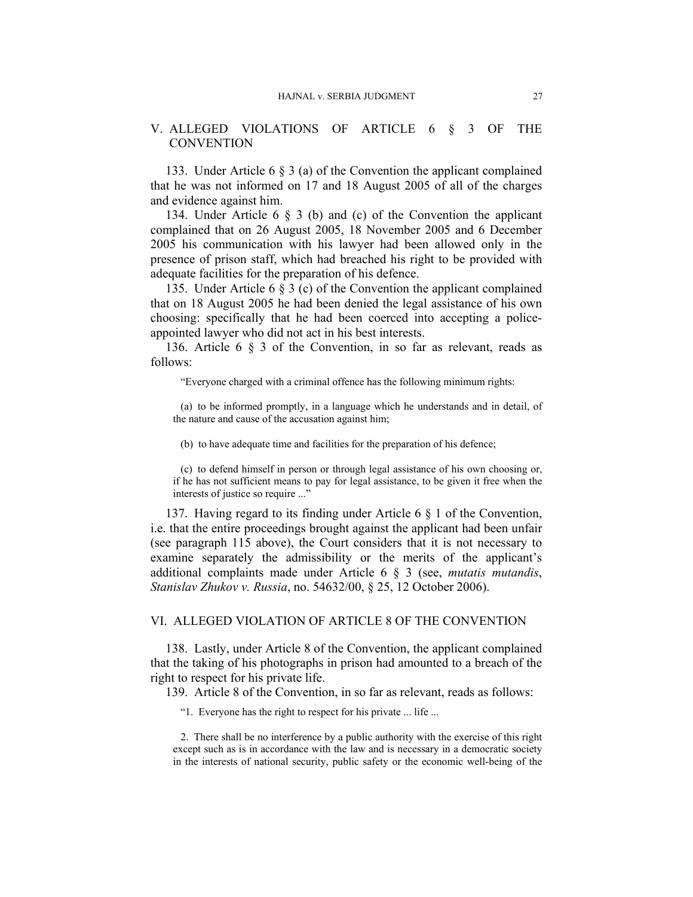# V. ALLEGED VIOLATIONS OF ARTICLE 6 § 3 OF THE **CONVENTION**

133. Under Article 6 § 3 (a) of the Convention the applicant complained that he was not informed on 17 and 18 August 2005 of all of the charges and evidence against him.

134. Under Article 6 § 3 (b) and (c) of the Convention the applicant complained that on 26 August 2005, 18 November 2005 and 6 December 2005 his communication with his lawyer had been allowed only in the presence of prison staff, which had breached his right to be provided with adequate facilities for the preparation of his defence.

135. Under Article 6 § 3 (c) of the Convention the applicant complained that on 18 August 2005 he had been denied the legal assistance of his own choosing: specifically that he had been coerced into accepting a policeappointed lawyer who did not act in his best interests.

136. Article 6 § 3 of the Convention, in so far as relevant, reads as follows:

"Everyone charged with a criminal offence has the following minimum rights:

(a) to be informed promptly, in a language which he understands and in detail, of the nature and cause of the accusation against him;

(b) to have adequate time and facilities for the preparation of his defence;

(c) to defend himself in person or through legal assistance of his own choosing or, if he has not sufficient means to pay for legal assistance, to be given it free when the interests of justice so require ..."

137. Having regard to its finding under Article 6 § 1 of the Convention, i.e. that the entire proceedings brought against the applicant had been unfair (see paragraph 115 above), the Court considers that it is not necessary to examine separately the admissibility or the merits of the applicant's additional complaints made under Article 6 § 3 (see, *mutatis mutandis*, *Stanislav Zhukov v. Russia*, no. 54632/00, § 25, 12 October 2006).

#### VI. ALLEGED VIOLATION OF ARTICLE 8 OF THE CONVENTION

138. Lastly, under Article 8 of the Convention, the applicant complained that the taking of his photographs in prison had amounted to a breach of the right to respect for his private life.

139. Article 8 of the Convention, in so far as relevant, reads as follows:

"1. Everyone has the right to respect for his private ... life ...

2. There shall be no interference by a public authority with the exercise of this right except such as is in accordance with the law and is necessary in a democratic society in the interests of national security, public safety or the economic well-being of the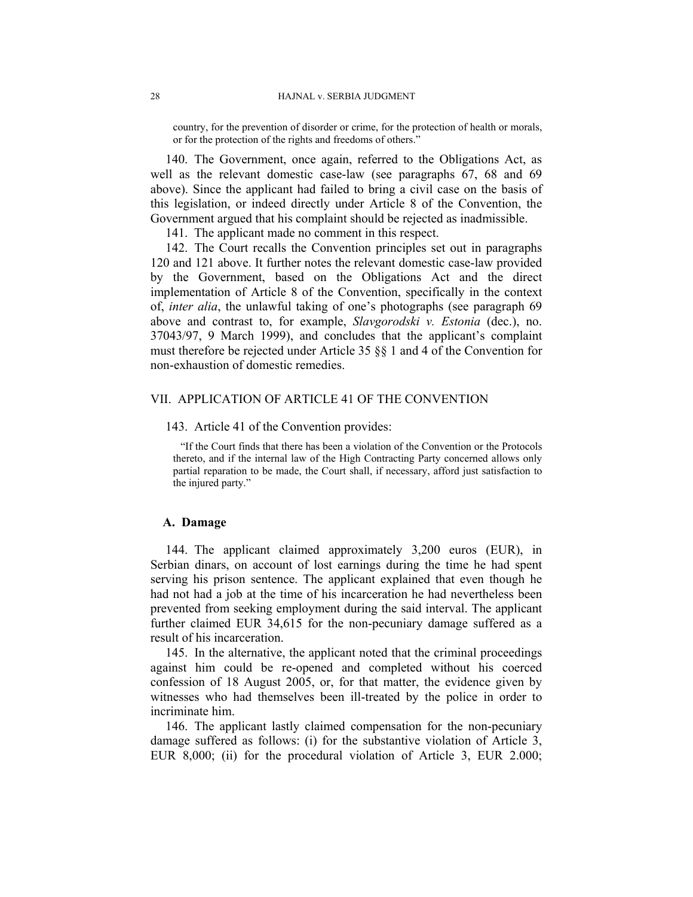country, for the prevention of disorder or crime, for the protection of health or morals, or for the protection of the rights and freedoms of others."

140. The Government, once again, referred to the Obligations Act, as well as the relevant domestic case-law (see paragraphs 67, 68 and 69 above). Since the applicant had failed to bring a civil case on the basis of this legislation, or indeed directly under Article 8 of the Convention, the Government argued that his complaint should be rejected as inadmissible.

141. The applicant made no comment in this respect.

142. The Court recalls the Convention principles set out in paragraphs 120 and 121 above. It further notes the relevant domestic case-law provided by the Government, based on the Obligations Act and the direct implementation of Article 8 of the Convention, specifically in the context of, *inter alia*, the unlawful taking of one's photographs (see paragraph 69 above and contrast to, for example, *Slavgorodski v. Estonia* (dec.), no. 37043/97, 9 March 1999), and concludes that the applicant's complaint must therefore be rejected under Article 35 §§ 1 and 4 of the Convention for non-exhaustion of domestic remedies.

# VII. APPLICATION OF ARTICLE 41 OF THE CONVENTION

#### 143. Article 41 of the Convention provides:

"If the Court finds that there has been a violation of the Convention or the Protocols thereto, and if the internal law of the High Contracting Party concerned allows only partial reparation to be made, the Court shall, if necessary, afford just satisfaction to the injured party."

# **A. Damage**

144. The applicant claimed approximately 3,200 euros (EUR), in Serbian dinars, on account of lost earnings during the time he had spent serving his prison sentence. The applicant explained that even though he had not had a job at the time of his incarceration he had nevertheless been prevented from seeking employment during the said interval. The applicant further claimed EUR 34,615 for the non-pecuniary damage suffered as a result of his incarceration.

145. In the alternative, the applicant noted that the criminal proceedings against him could be re-opened and completed without his coerced confession of 18 August 2005, or, for that matter, the evidence given by witnesses who had themselves been ill-treated by the police in order to incriminate him.

146. The applicant lastly claimed compensation for the non-pecuniary damage suffered as follows: (i) for the substantive violation of Article 3, EUR 8,000; (ii) for the procedural violation of Article 3, EUR 2.000;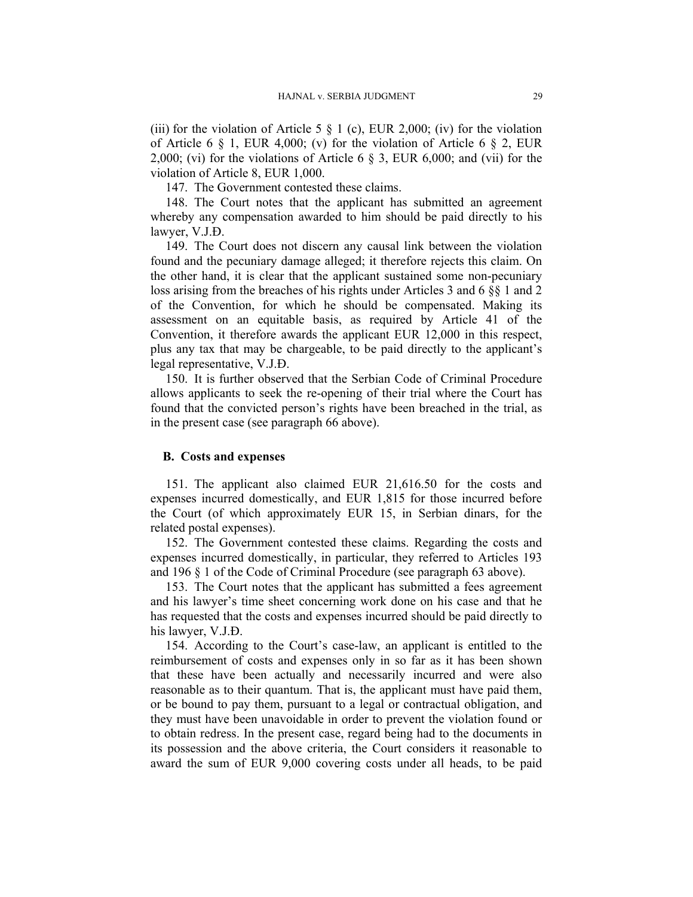(iii) for the violation of Article 5  $\S$  1 (c), EUR 2,000; (iv) for the violation of Article 6  $\S$  1, EUR 4,000; (v) for the violation of Article 6  $\S$  2, EUR 2,000; (vi) for the violations of Article 6  $\S$  3, EUR 6,000; and (vii) for the violation of Article 8, EUR 1,000.

147. The Government contested these claims.

148. The Court notes that the applicant has submitted an agreement whereby any compensation awarded to him should be paid directly to his lawyer, V.J.Đ.

149. The Court does not discern any causal link between the violation found and the pecuniary damage alleged; it therefore rejects this claim. On the other hand, it is clear that the applicant sustained some non-pecuniary loss arising from the breaches of his rights under Articles 3 and 6 §§ 1 and 2 of the Convention, for which he should be compensated. Making its assessment on an equitable basis, as required by Article 41 of the Convention, it therefore awards the applicant EUR 12,000 in this respect, plus any tax that may be chargeable, to be paid directly to the applicant's legal representative, V.J.Đ.

150. It is further observed that the Serbian Code of Criminal Procedure allows applicants to seek the re-opening of their trial where the Court has found that the convicted person's rights have been breached in the trial, as in the present case (see paragraph 66 above).

### **B. Costs and expenses**

151. The applicant also claimed EUR 21,616.50 for the costs and expenses incurred domestically, and EUR 1,815 for those incurred before the Court (of which approximately EUR 15, in Serbian dinars, for the related postal expenses).

152. The Government contested these claims. Regarding the costs and expenses incurred domestically, in particular, they referred to Articles 193 and 196 § 1 of the Code of Criminal Procedure (see paragraph 63 above).

153. The Court notes that the applicant has submitted a fees agreement and his lawyer's time sheet concerning work done on his case and that he has requested that the costs and expenses incurred should be paid directly to his lawyer, V.J.Đ.

154. According to the Court's case-law, an applicant is entitled to the reimbursement of costs and expenses only in so far as it has been shown that these have been actually and necessarily incurred and were also reasonable as to their quantum. That is, the applicant must have paid them, or be bound to pay them, pursuant to a legal or contractual obligation, and they must have been unavoidable in order to prevent the violation found or to obtain redress. In the present case, regard being had to the documents in its possession and the above criteria, the Court considers it reasonable to award the sum of EUR 9,000 covering costs under all heads, to be paid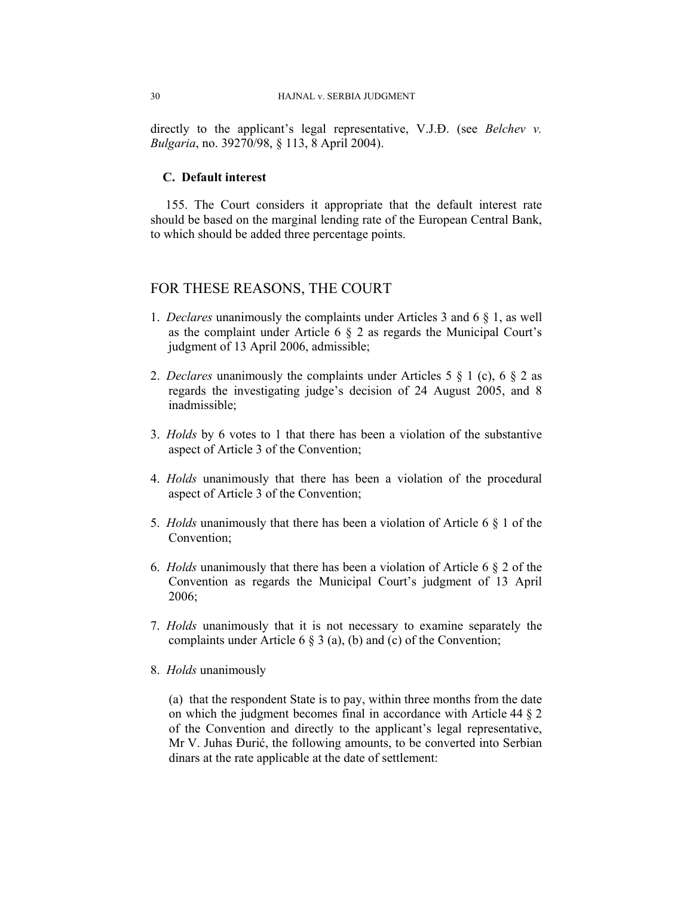directly to the applicant's legal representative, V.J.Đ. (see *Belchev v. Bulgaria*, no. 39270/98, § 113, 8 April 2004).

# **C. Default interest**

155. The Court considers it appropriate that the default interest rate should be based on the marginal lending rate of the European Central Bank, to which should be added three percentage points.

# FOR THESE REASONS, THE COURT

- 1. *Declares* unanimously the complaints under Articles 3 and 6 § 1, as well as the complaint under Article 6 § 2 as regards the Municipal Court's judgment of 13 April 2006, admissible;
- 2. *Declares* unanimously the complaints under Articles 5 § 1 (c), 6 § 2 as regards the investigating judge's decision of 24 August 2005, and 8 inadmissible;
- 3. *Holds* by 6 votes to 1 that there has been a violation of the substantive aspect of Article 3 of the Convention;
- 4. *Holds* unanimously that there has been a violation of the procedural aspect of Article 3 of the Convention;
- 5. *Holds* unanimously that there has been a violation of Article 6 § 1 of the Convention;
- 6. *Holds* unanimously that there has been a violation of Article 6 § 2 of the Convention as regards the Municipal Court's judgment of 13 April 2006;
- 7. *Holds* unanimously that it is not necessary to examine separately the complaints under Article 6 § 3 (a), (b) and (c) of the Convention;
- 8. *Holds* unanimously

(a) that the respondent State is to pay, within three months from the date on which the judgment becomes final in accordance with Article 44 § 2 of the Convention and directly to the applicant's legal representative, Mr V. Juhas Đurić, the following amounts, to be converted into Serbian dinars at the rate applicable at the date of settlement: